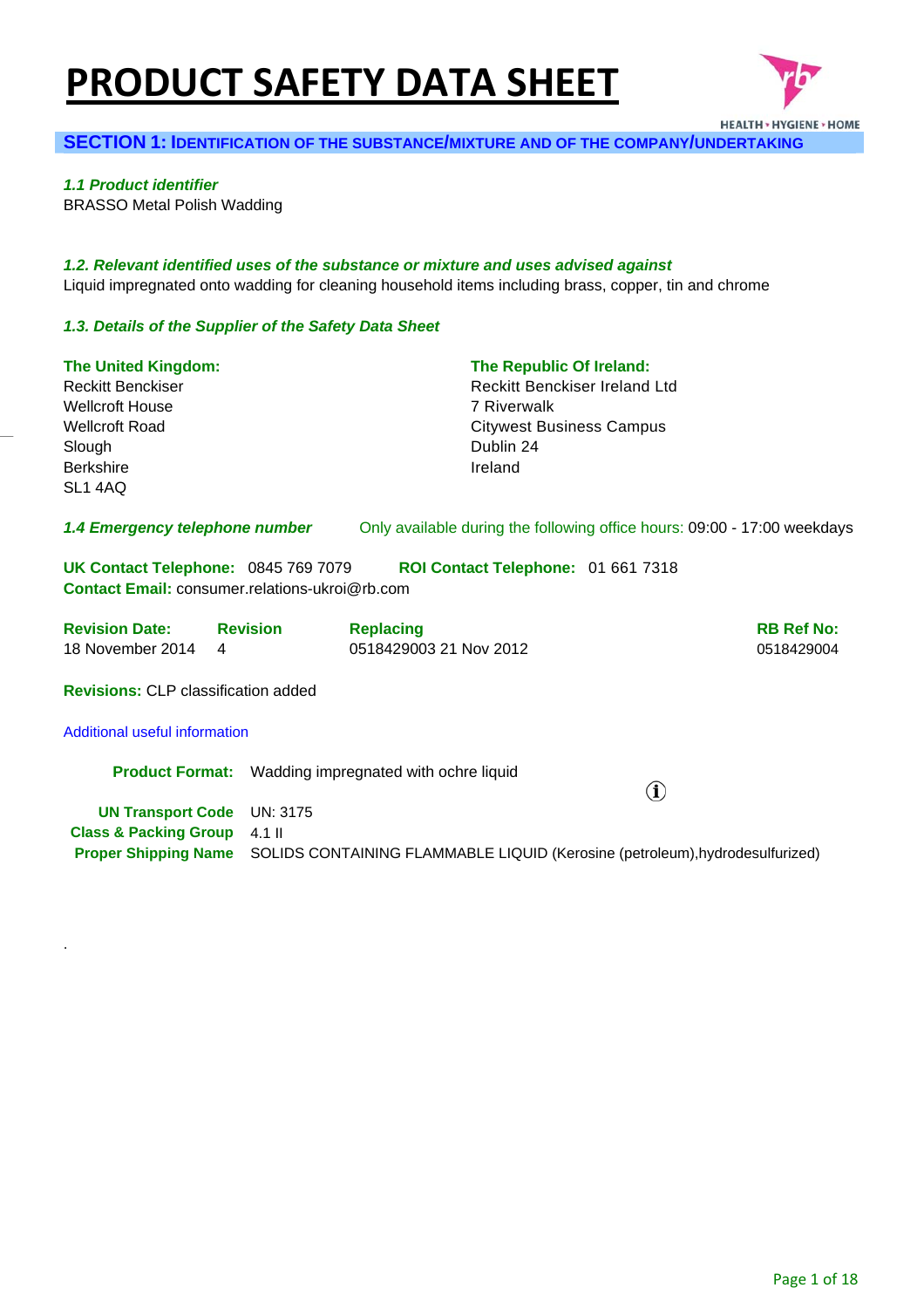# **PRODUCT SAFETY DATA SHEET**



**SECTION 1: IDENTIFICATION OF THE SUBSTANCE/MIXTURE AND OF THE COMPANY/UNDERTAKING**

*1.1 Product identifier* 

.

BRASSO Metal Polish Wadding

*1.2. Relevant identified uses of the substance or mixture and uses advised against* Liquid impregnated onto wadding for cleaning household items including brass, copper, tin and chrome

## *1.3. Details of the Supplier of the Safety Data Sheet*

| <b>The United Kingdom:</b><br><b>Reckitt Benckiser</b><br><b>Wellcroft House</b><br><b>Wellcroft Road</b><br>Slough<br><b>Berkshire</b><br>SL1 4AQ |                                                              | The Republic Of Ireland:<br>Reckitt Benckiser Ireland Ltd<br>7 Riverwalk<br><b>Citywest Business Campus</b><br>Dublin 24<br>Ireland |                                 |
|----------------------------------------------------------------------------------------------------------------------------------------------------|--------------------------------------------------------------|-------------------------------------------------------------------------------------------------------------------------------------|---------------------------------|
| 1.4 Emergency telephone number                                                                                                                     |                                                              | Only available during the following office hours: 09:00 - 17:00 weekdays                                                            |                                 |
| UK Contact Telephone: 0845 769 7079<br><b>Contact Email: consumer.relations-ukroj@rb.com</b>                                                       |                                                              | ROI Contact Telephone: 01 661 7318                                                                                                  |                                 |
| <b>Revision Date: Revision</b><br>18 November 2014<br>4                                                                                            | <b>Replacing</b><br>0518429003 21 Nov 2012                   |                                                                                                                                     | <b>RB Ref No:</b><br>0518429004 |
| <b>Revisions: CLP classification added</b>                                                                                                         |                                                              |                                                                                                                                     |                                 |
| Additional useful information                                                                                                                      |                                                              |                                                                                                                                     |                                 |
|                                                                                                                                                    | <b>Product Format:</b> Wadding impregnated with ochre liquid |                                                                                                                                     | $\bf (\hat{i})$                 |
| <b>UN Transport Code</b> UN: 3175<br><b>Class &amp; Packing Group</b>                                                                              | $4.1$ II                                                     |                                                                                                                                     |                                 |
| <b>Proper Shipping Name</b>                                                                                                                        |                                                              | SOLIDS CONTAINING FLAMMABLE LIQUID (Kerosine (petroleum), hydrodesulfurized)                                                        |                                 |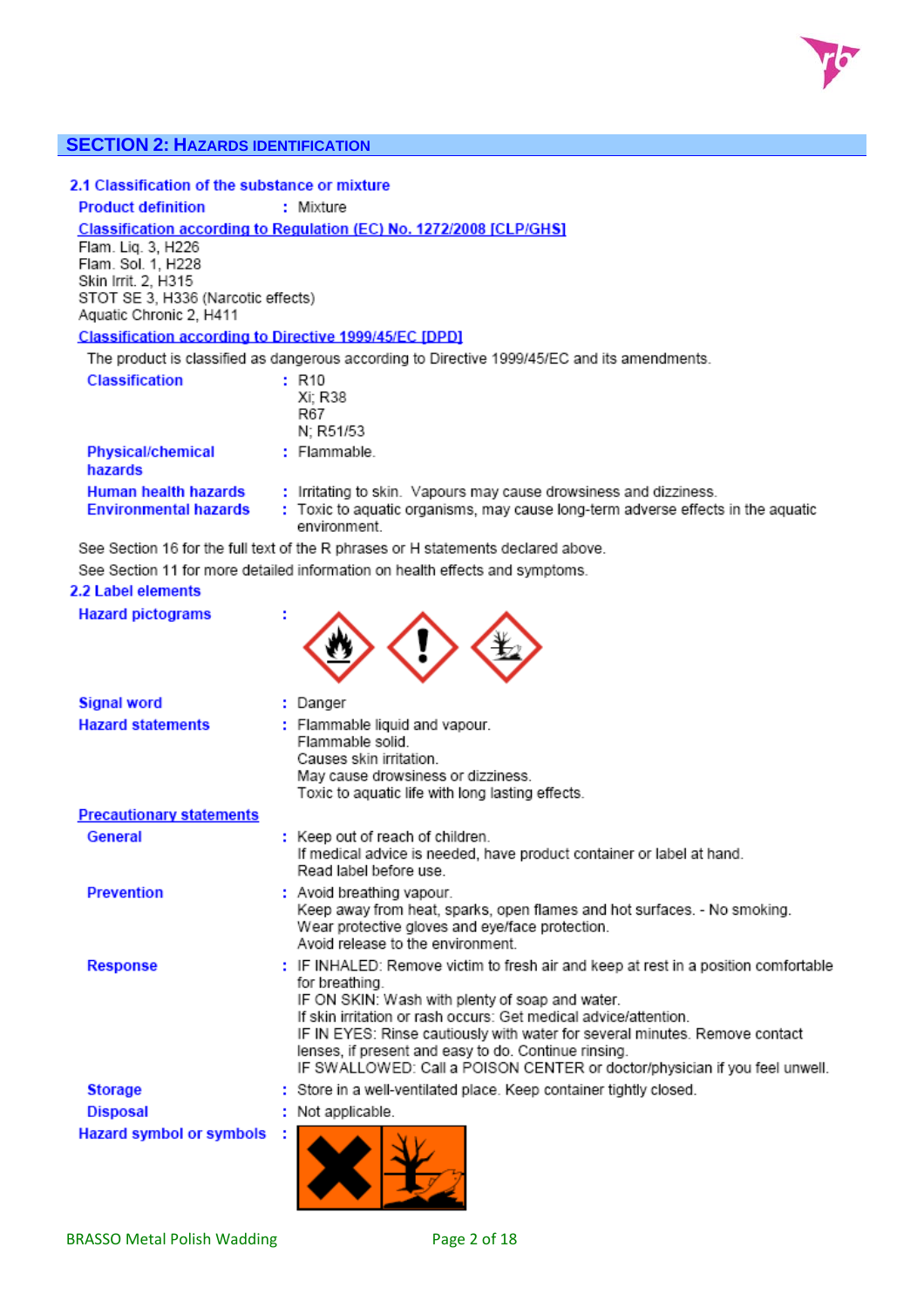

## **SECTION 2: HAZARDS IDENTIFICATION**

# 2.1 Classification of the substance or mixture

#### **Product definition** : Mixture

Classification according to Regulation (EC) No. 1272/2008 [CLP/GHS]

Flam. Liq. 3, H226 Flam. Sol. 1, H228 Skin Irrit. 2. H315 STOT SE 3, H336 (Narcotic effects) Aquatic Chronic 2, H411

#### **Classification according to Directive 1999/45/EC [DPD]**

The product is classified as dangerous according to Directive 1999/45/EC and its amendments.

| <b>Classification</b>                                       | : R10<br>Xi: R38<br>R67<br>N: R51/53                                                                                                                                  |
|-------------------------------------------------------------|-----------------------------------------------------------------------------------------------------------------------------------------------------------------------|
| <b>Physical/chemical</b><br>hazards                         | $:$ Flammable.                                                                                                                                                        |
| <b>Human health hazards</b><br><b>Environmental hazards</b> | : Irritating to skin. Vapours may cause drowsiness and dizziness.<br>: Toxic to aquatic organisms, may cause long-term adverse effects in the aquatic<br>environment. |

See Section 16 for the full text of the R phrases or H statements declared above.

See Section 11 for more detailed information on health effects and symptoms.

#### 2.2 Label elements

**Cinnal word** 

**Hazard pictograms** 



| <b>Signal word</b>              |   | : Danger                                                                                                                                                                                                                                                                                                                                                                                                                                          |  |
|---------------------------------|---|---------------------------------------------------------------------------------------------------------------------------------------------------------------------------------------------------------------------------------------------------------------------------------------------------------------------------------------------------------------------------------------------------------------------------------------------------|--|
| <b>Hazard statements</b>        |   | : Flammable liquid and vapour.<br>Flammable solid.<br>Causes skin irritation.<br>May cause drowsiness or dizziness.<br>Toxic to aquatic life with long lasting effects.                                                                                                                                                                                                                                                                           |  |
| <b>Precautionary statements</b> |   |                                                                                                                                                                                                                                                                                                                                                                                                                                                   |  |
| General                         |   | : Keep out of reach of children.<br>If medical advice is needed, have product container or label at hand.<br>Read label before use                                                                                                                                                                                                                                                                                                                |  |
| <b>Prevention</b>               |   | : Avoid breathing vapour.<br>Keep away from heat, sparks, open flames and hot surfaces. - No smoking.<br>Wear protective gloves and eye/face protection.<br>Avoid release to the environment                                                                                                                                                                                                                                                      |  |
| <b>Response</b>                 |   | : IF INHALED: Remove victim to fresh air and keep at rest in a position comfortable<br>for breathing.<br>IF ON SKIN: Wash with plenty of soap and water.<br>If skin irritation or rash occurs: Get medical advice/attention.<br>IF IN EYES: Rinse cautiously with water for several minutes. Remove contact<br>lenses, if present and easy to do. Continue rinsing.<br>IF SWALLOWED: Call a POISON CENTER or doctor/physician if you feel unwell. |  |
| <b>Storage</b>                  |   | : Store in a well-ventilated place. Keep container tightly closed.                                                                                                                                                                                                                                                                                                                                                                                |  |
| <b>Disposal</b>                 |   | : Not applicable.                                                                                                                                                                                                                                                                                                                                                                                                                                 |  |
| <b>Hazard symbol or symbols</b> | ÷ |                                                                                                                                                                                                                                                                                                                                                                                                                                                   |  |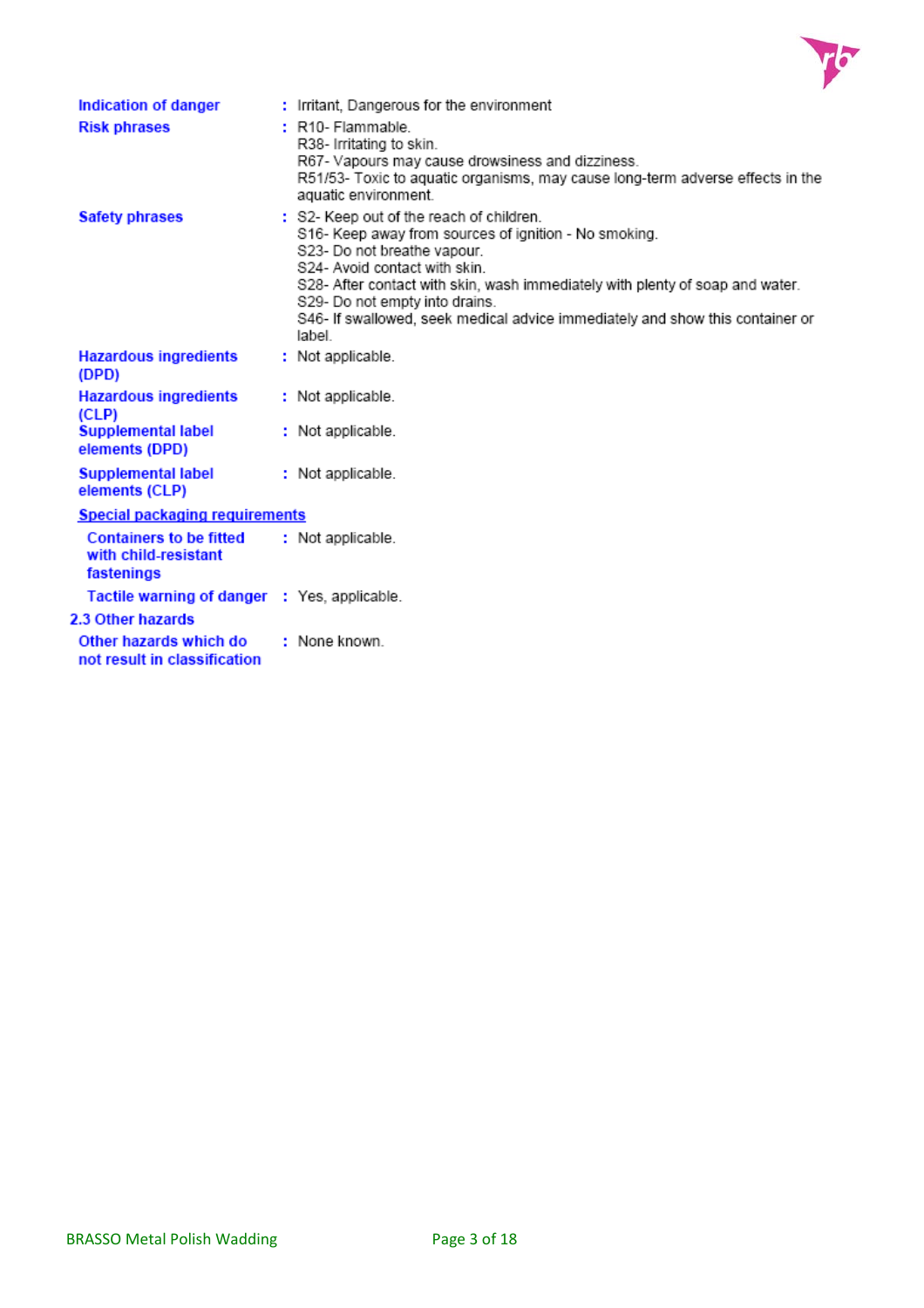

| Indication of danger<br><b>Risk phrases</b>                          | : Irritant, Dangerous for the environment<br>$: R10 - Flammable.$<br>R38- Irritating to skin.<br>R67- Vapours may cause drowsiness and dizziness.<br>R51/53- Toxic to aquatic organisms, may cause long-term adverse effects in the<br>aquatic environment.                                                                                                                    |
|----------------------------------------------------------------------|--------------------------------------------------------------------------------------------------------------------------------------------------------------------------------------------------------------------------------------------------------------------------------------------------------------------------------------------------------------------------------|
| <b>Safety phrases</b>                                                | : S2- Keep out of the reach of children.<br>S16- Keep away from sources of ignition - No smoking.<br>S23- Do not breathe vapour.<br>S24- Avoid contact with skin.<br>S28- After contact with skin, wash immediately with plenty of soap and water.<br>S29- Do not empty into drains.<br>S46- If swallowed, seek medical advice immediately and show this container or<br>label |
| <b>Hazardous ingredients</b><br>(DPD)                                | : Not applicable.                                                                                                                                                                                                                                                                                                                                                              |
| <b>Hazardous ingredients</b><br>(CLP)                                | : Not applicable.                                                                                                                                                                                                                                                                                                                                                              |
| <b>Supplemental label</b><br>elements (DPD)                          | : Not applicable.                                                                                                                                                                                                                                                                                                                                                              |
| <b>Supplemental label</b><br>elements (CLP)                          | : Not applicable.                                                                                                                                                                                                                                                                                                                                                              |
| <b>Special packaging requirements</b>                                |                                                                                                                                                                                                                                                                                                                                                                                |
| <b>Containers to be fitted</b><br>with child-resistant<br>fastenings | : Not applicable.                                                                                                                                                                                                                                                                                                                                                              |
| Tactile warning of danger : Yes, applicable.                         |                                                                                                                                                                                                                                                                                                                                                                                |
| 2.3 Other hazards                                                    |                                                                                                                                                                                                                                                                                                                                                                                |
| Other hazards which do<br>not result in classification               | : None known                                                                                                                                                                                                                                                                                                                                                                   |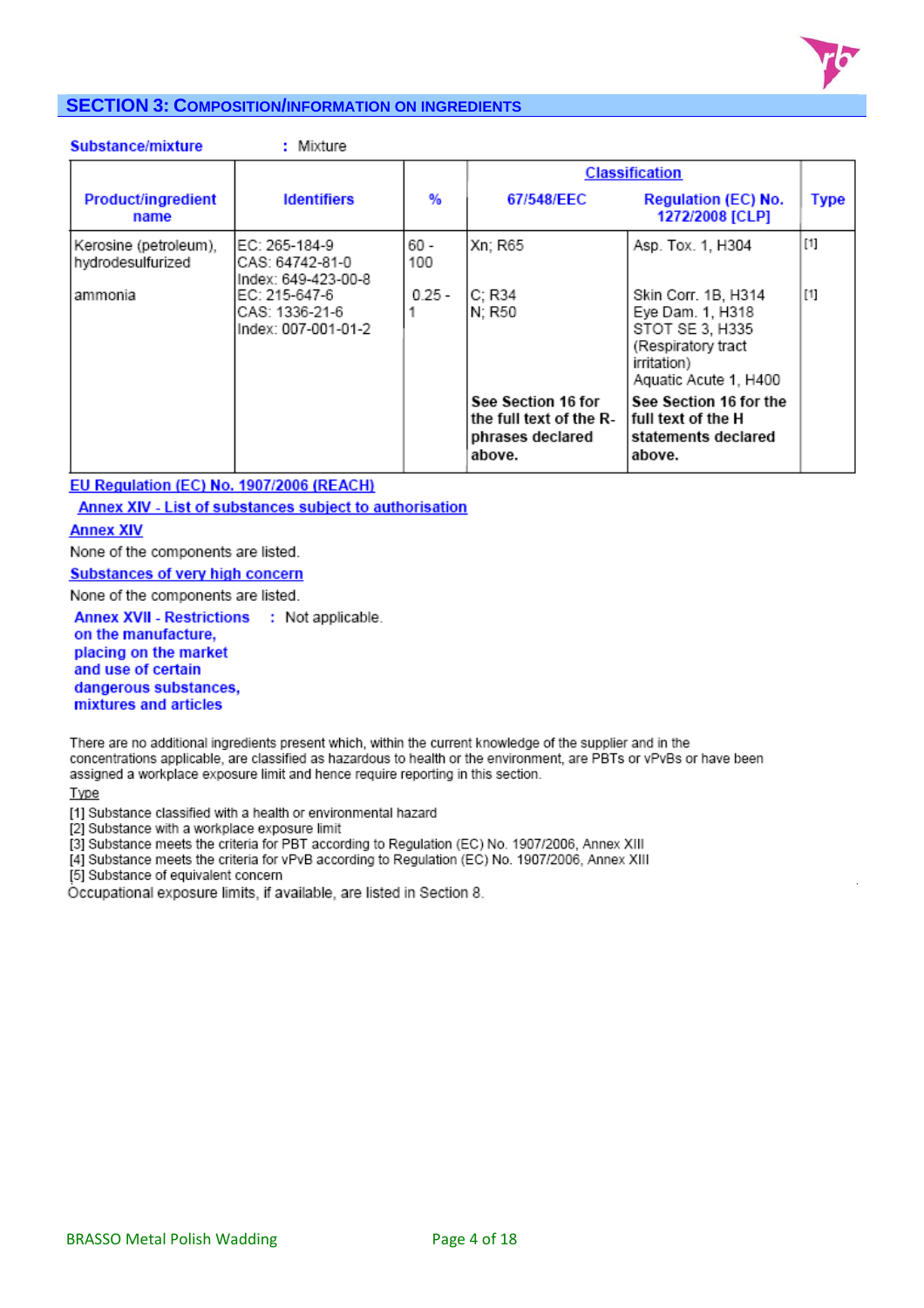

# **SECTION 3: COMPOSITION/INFORMATION ON INGREDIENTS**

| Substance/mixture                          | : Mixture                                               |             |                                                                             |                                                                                                                          |             |
|--------------------------------------------|---------------------------------------------------------|-------------|-----------------------------------------------------------------------------|--------------------------------------------------------------------------------------------------------------------------|-------------|
|                                            |                                                         |             |                                                                             | <b>Classification</b>                                                                                                    |             |
| <b>Product/ingredient</b><br>name          | <b>Identifiers</b>                                      | %           | 67/548/EEC                                                                  | <b>Regulation (EC) No.</b><br>1272/2008 [CLP]                                                                            | <b>Type</b> |
| Kerosine (petroleum),<br>hydrodesulfurized | EC: 265-184-9<br>CAS: 64742-81-0<br>Index: 649-423-00-8 | 60 -<br>100 | Xn; R65                                                                     | Asp. Tox. 1, H304                                                                                                        | $[1]$       |
| ammonia                                    | EC: 215-647-6<br>CAS: 1336-21-6<br>Index: 007-001-01-2  | $0.25 -$    | C; R34<br>N; R50                                                            | Skin Corr. 1B, H314<br>Eye Dam. 1, H318<br>STOT SE 3, H335<br>(Respiratory tract<br>irritation)<br>Aquatic Acute 1, H400 | $[1]$       |
|                                            |                                                         |             | See Section 16 for<br>the full text of the R-<br>phrases declared<br>above. | See Section 16 for the<br>full text of the H<br>statements declared<br>above.                                            |             |

EU Regulation (EC) No. 1907/2006 (REACH)

Annex XIV - List of substances subject to authorisation

#### **Annex XIV**

None of the components are listed.

#### **Substances of very high concern**

None of the components are listed.

Annex XVII - Restrictions : Not applicable. on the manufacture, placing on the market and use of certain dangerous substances,

mixtures and articles

There are no additional ingredients present which, within the current knowledge of the supplier and in the concentrations applicable, are classified as hazardous to health or the environment, are PBTs or vPvBs or have been assigned a workplace exposure limit and hence require reporting in this section.

Type

[1] Substance classified with a health or environmental hazard

[2] Substance with a workplace exposure limit

[3] Substance meets the criteria for PBT according to Regulation (EC) No. 1907/2006, Annex XIII

[4] Substance meets the criteria for vPvB according to Regulation (EC) No. 1907/2006, Annex XIII

[5] Substance of equivalent concern

Occupational exposure limits, if available, are listed in Section 8.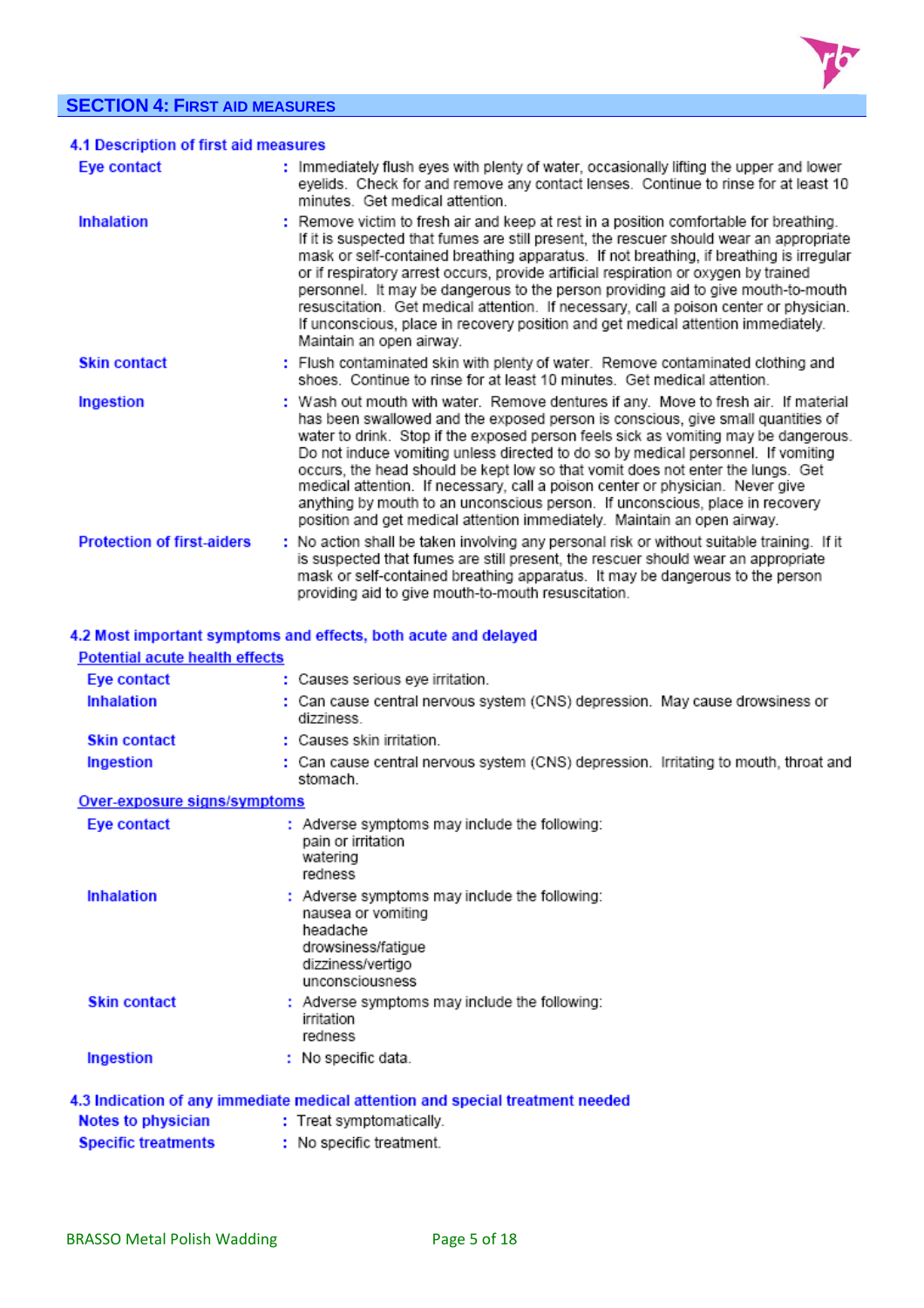# **SECTION 4: FIRST AID MEASURES**



| 4.1 Description of first aid measures |                                                                                                                                                                                                                                                                                                                                                                                                                                                                                                                                                                                                                                                                                       |
|---------------------------------------|---------------------------------------------------------------------------------------------------------------------------------------------------------------------------------------------------------------------------------------------------------------------------------------------------------------------------------------------------------------------------------------------------------------------------------------------------------------------------------------------------------------------------------------------------------------------------------------------------------------------------------------------------------------------------------------|
| Eye contact                           | : Immediately flush eyes with plenty of water, occasionally lifting the upper and lower<br>eyelids. Check for and remove any contact lenses. Continue to rinse for at least 10<br>minutes. Get medical attention.                                                                                                                                                                                                                                                                                                                                                                                                                                                                     |
| <b>Inhalation</b>                     | : Remove victim to fresh air and keep at rest in a position comfortable for breathing.<br>If it is suspected that fumes are still present, the rescuer should wear an appropriate<br>mask or self-contained breathing apparatus. If not breathing, if breathing is irregular<br>or if respiratory arrest occurs, provide artificial respiration or oxygen by trained<br>personnel. It may be dangerous to the person providing aid to give mouth-to-mouth<br>resuscitation. Get medical attention. If necessary, call a poison center or physician.<br>If unconscious, place in recovery position and get medical attention immediately.<br>Maintain an open airway.                  |
| <b>Skin contact</b>                   | : Flush contaminated skin with plenty of water. Remove contaminated clothing and<br>shoes. Continue to rinse for at least 10 minutes. Get medical attention.                                                                                                                                                                                                                                                                                                                                                                                                                                                                                                                          |
| Ingestion                             | : Wash out mouth with water. Remove dentures if any. Move to fresh air. If material<br>has been swallowed and the exposed person is conscious, give small quantities of<br>water to drink. Stop if the exposed person feels sick as vomiting may be dangerous.<br>Do not induce vomiting unless directed to do so by medical personnel. If vomiting<br>occurs, the head should be kept low so that vomit does not enter the lungs. Get<br>medical attention. If necessary, call a poison center or physician. Never give<br>anything by mouth to an unconscious person. If unconscious, place in recovery<br>position and get medical attention immediately. Maintain an open airway. |
| <b>Protection of first-aiders</b>     | : No action shall be taken involving any personal risk or without suitable training. If it<br>is suspected that fumes are still present, the rescuer should wear an appropriate<br>mask or self-contained breathing apparatus. It may be dangerous to the person<br>providing aid to give mouth-to-mouth resuscitation.                                                                                                                                                                                                                                                                                                                                                               |

| <b>Potential acute health effects</b> | 4.2 Most important symptoms and effects, both acute and delayed                                                                               |
|---------------------------------------|-----------------------------------------------------------------------------------------------------------------------------------------------|
| Eye contact                           | : Causes serious eye irritation.                                                                                                              |
| <b>Inhalation</b>                     | : Can cause central nervous system (CNS) depression. May cause drowsiness or<br>dizziness                                                     |
| <b>Skin contact</b>                   | : Causes skin irritation                                                                                                                      |
| Ingestion                             | : Can cause central nervous system (CNS) depression. Irritating to mouth, throat and<br>stomach                                               |
| Over-exposure signs/symptoms          |                                                                                                                                               |
| Eve contact                           | : Adverse symptoms may include the following:<br>pain or irritation<br>watering<br>redness                                                    |
| <b>Inhalation</b>                     | : Adverse symptoms may include the following:<br>nausea or vomiting<br>headache<br>drowsiness/fatigue<br>dizziness/vertigo<br>unconsciousness |
| <b>Skin contact</b>                   | : Adverse symptoms may include the following:<br>irritation<br>redness                                                                        |
| Ingestion                             | $:$ No specific data.                                                                                                                         |
|                                       | 4.3 Indication of any immediate medical attention and special treatment needed                                                                |
| <b>Notes to physician</b>             | : Treat symptomatically.                                                                                                                      |
| <b>Specific treatments</b>            | : No specific treatment.                                                                                                                      |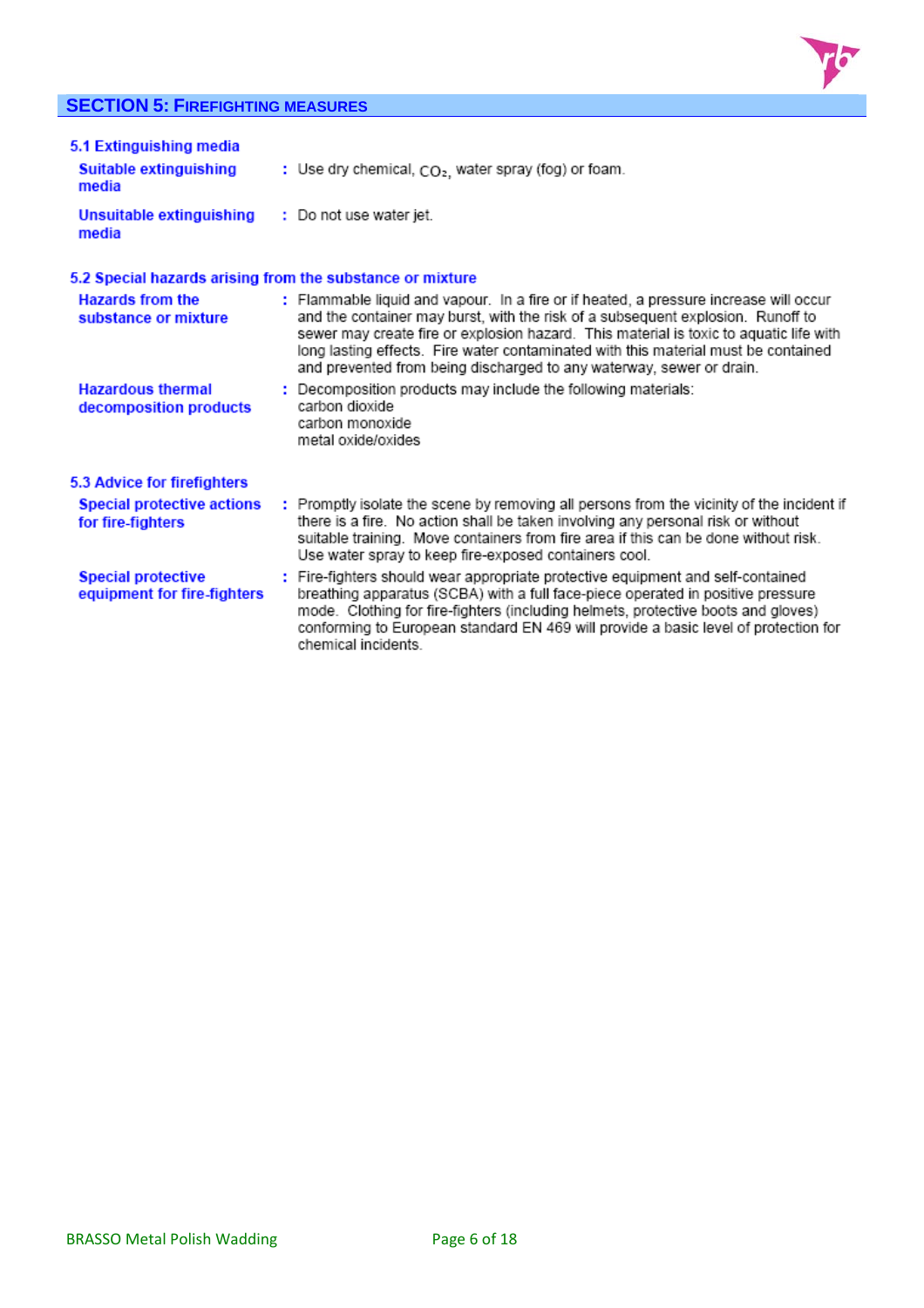# **SECTION 5: FIREFIGHTING MEASURES**



| 5.1 Extinguishing media<br>Suitable extinguishing<br>media | : Use dry chemical, $CO2$ , water spray (fog) or foam.                                                                                                                                                                                                                                                                                                                                                                           |
|------------------------------------------------------------|----------------------------------------------------------------------------------------------------------------------------------------------------------------------------------------------------------------------------------------------------------------------------------------------------------------------------------------------------------------------------------------------------------------------------------|
| <b>Unsuitable extinguishing</b><br>media                   | : Do not use water jet.                                                                                                                                                                                                                                                                                                                                                                                                          |
| 5.2 Special hazards arising from the substance or mixture  |                                                                                                                                                                                                                                                                                                                                                                                                                                  |
| <b>Hazards from the</b><br>substance or mixture            | : Flammable liquid and vapour. In a fire or if heated, a pressure increase will occur<br>and the container may burst, with the risk of a subsequent explosion. Runoff to<br>sewer may create fire or explosion hazard. This material is toxic to aquatic life with<br>long lasting effects. Fire water contaminated with this material must be contained<br>and prevented from being discharged to any waterway, sewer or drain. |
| <b>Hazardous thermal</b><br>decomposition products         | : Decomposition products may include the following materials:<br>carbon dioxide<br>carbon monoxide<br>metal oxide/oxides                                                                                                                                                                                                                                                                                                         |
| 5.3 Advice for firefighters                                |                                                                                                                                                                                                                                                                                                                                                                                                                                  |
| <b>Special protective actions</b><br>for fire-fighters     | : Promptly isolate the scene by removing all persons from the vicinity of the incident if<br>there is a fire. No action shall be taken involving any personal risk or without<br>suitable training. Move containers from fire area if this can be done without risk.<br>Use water spray to keep fire-exposed containers cool.                                                                                                    |
| <b>Special protective</b><br>equipment for fire-fighters   | : Fire-fighters should wear appropriate protective equipment and self-contained<br>breathing apparatus (SCBA) with a full face-piece operated in positive pressure<br>mode. Clothing for fire-fighters (including helmets, protective boots and gloves)<br>conforming to European standard EN 469 will provide a basic level of protection for<br>chemical incidents.                                                            |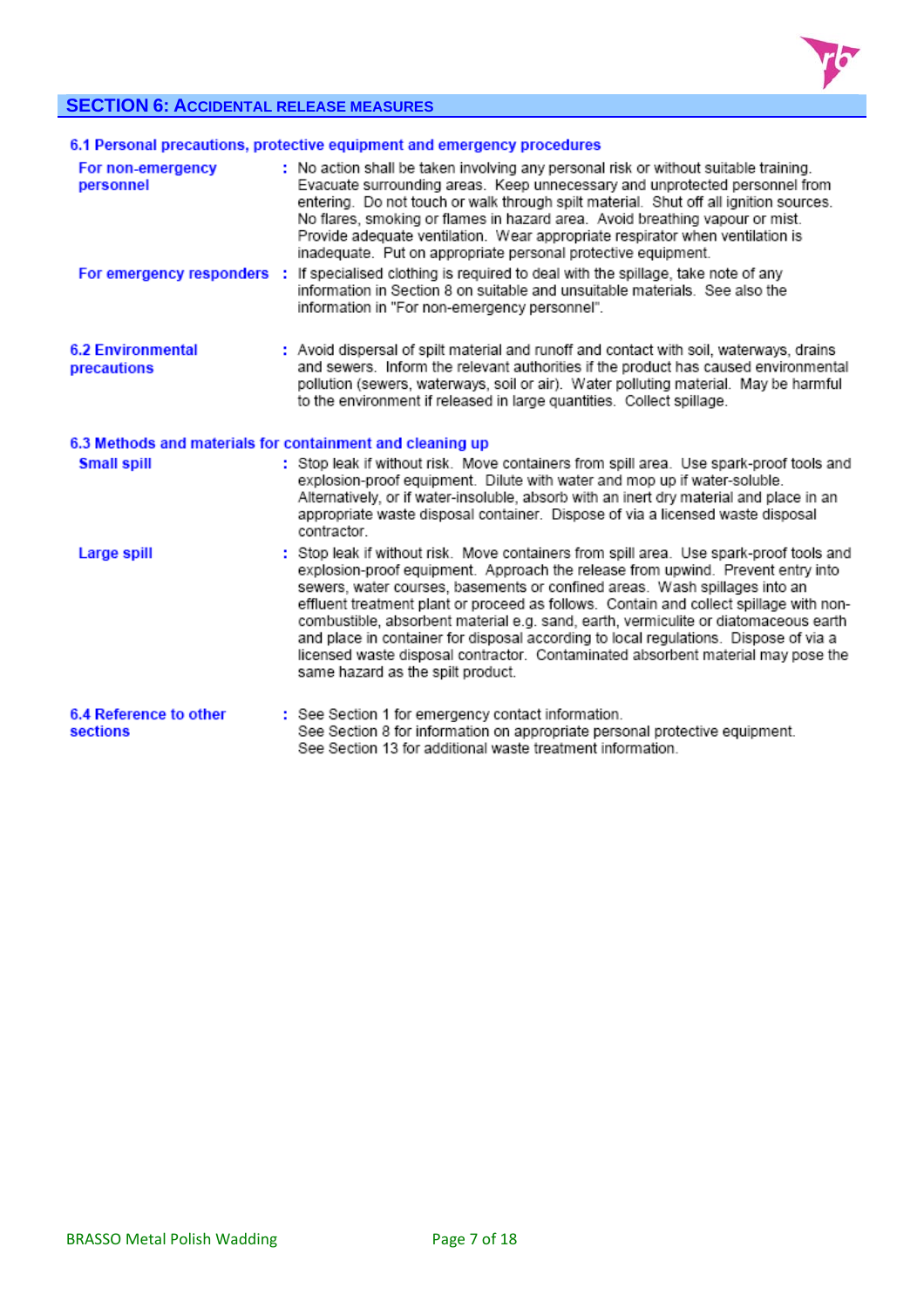

# **SECTION 6: ACCIDENTAL RELEASE MEASURES**

|                                                           | 6.1 Personal precautions, protective equipment and emergency procedures                                                                                                                                                                                                                                                                                                                                                                                                                                                                                                                                                                                    |
|-----------------------------------------------------------|------------------------------------------------------------------------------------------------------------------------------------------------------------------------------------------------------------------------------------------------------------------------------------------------------------------------------------------------------------------------------------------------------------------------------------------------------------------------------------------------------------------------------------------------------------------------------------------------------------------------------------------------------------|
| For non-emergency<br>personnel                            | : No action shall be taken involving any personal risk or without suitable training.<br>Evacuate surrounding areas. Keep unnecessary and unprotected personnel from<br>entering. Do not touch or walk through spilt material. Shut off all ignition sources.<br>No flares, smoking or flames in hazard area. Avoid breathing vapour or mist.<br>Provide adequate ventilation. Wear appropriate respirator when ventilation is<br>inadequate. Put on appropriate personal protective equipment.                                                                                                                                                             |
| For emergency responders :                                | If specialised clothing is required to deal with the spillage, take note of any<br>information in Section 8 on suitable and unsuitable materials. See also the<br>information in "For non-emergency personnel".                                                                                                                                                                                                                                                                                                                                                                                                                                            |
| <b>6.2 Environmental</b><br>precautions                   | : Avoid dispersal of spilt material and runoff and contact with soil, waterways, drains<br>and sewers. Inform the relevant authorities if the product has caused environmental<br>pollution (sewers, waterways, soil or air). Water polluting material. May be harmful<br>to the environment if released in large quantities. Collect spillage.                                                                                                                                                                                                                                                                                                            |
| 6.3 Methods and materials for containment and cleaning up |                                                                                                                                                                                                                                                                                                                                                                                                                                                                                                                                                                                                                                                            |
| <b>Small spill</b>                                        | : Stop leak if without risk. Move containers from spill area. Use spark-proof tools and<br>explosion-proof equipment. Dilute with water and mop up if water-soluble.<br>Alternatively, or if water-insoluble, absorb with an inert dry material and place in an<br>appropriate waste disposal container. Dispose of via a licensed waste disposal<br>contractor.                                                                                                                                                                                                                                                                                           |
| Large spill                                               | : Stop leak if without risk. Move containers from spill area. Use spark-proof tools and<br>explosion-proof equipment. Approach the release from upwind. Prevent entry into<br>sewers, water courses, basements or confined areas. Wash spillages into an<br>effluent treatment plant or proceed as follows. Contain and collect spillage with non-<br>combustible, absorbent material e.g. sand, earth, vermiculite or diatomaceous earth<br>and place in container for disposal according to local regulations. Dispose of via a<br>licensed waste disposal contractor. Contaminated absorbent material may pose the<br>same hazard as the spilt product. |
| 6.4 Reference to other<br>sections                        | : See Section 1 for emergency contact information.<br>See Section 8 for information on appropriate personal protective equipment.<br>See Section 13 for additional waste treatment information.                                                                                                                                                                                                                                                                                                                                                                                                                                                            |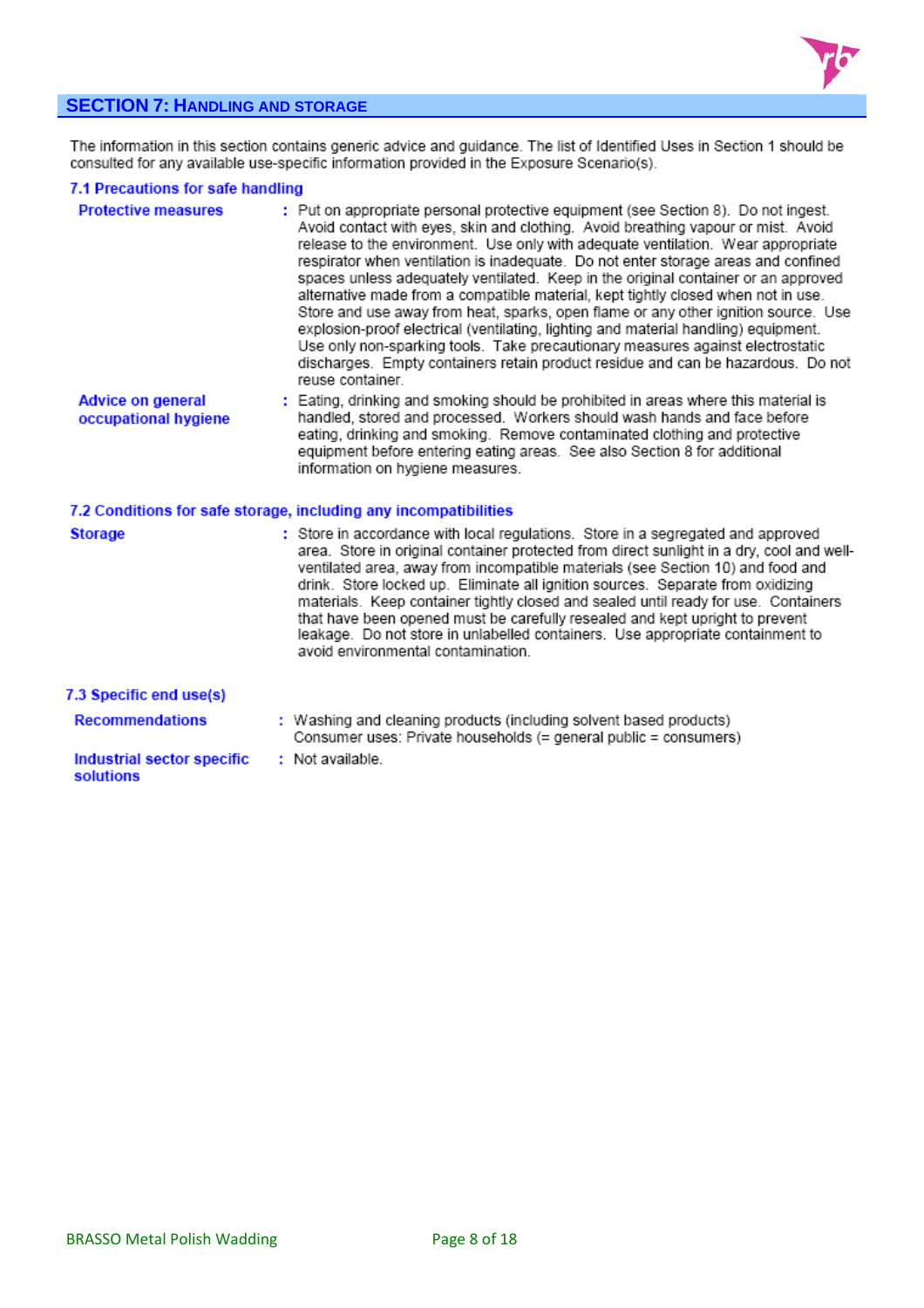

# **SECTION 7: HANDLING AND STORAGE**

The information in this section contains generic advice and guidance. The list of Identified Uses in Section 1 should be<br>consulted for any available use-specific information provided in the Exposure Scenario(s).

#### 7.1 Precautions for safe handling

| <b>Protective measures</b>                       | : Put on appropriate personal protective equipment (see Section 8). Do not ingest.<br>Avoid contact with eyes, skin and clothing. Avoid breathing vapour or mist. Avoid<br>release to the environment. Use only with adequate ventilation. Wear appropriate<br>respirator when ventilation is inadequate. Do not enter storage areas and confined<br>spaces unless adequately ventilated. Keep in the original container or an approved<br>alternative made from a compatible material, kept tightly closed when not in use.<br>Store and use away from heat, sparks, open flame or any other ignition source. Use<br>explosion-proof electrical (ventilating, lighting and material handling) equipment.<br>Use only non-sparking tools. Take precautionary measures against electrostatic<br>discharges. Empty containers retain product residue and can be hazardous. Do not<br>reuse container. |
|--------------------------------------------------|-----------------------------------------------------------------------------------------------------------------------------------------------------------------------------------------------------------------------------------------------------------------------------------------------------------------------------------------------------------------------------------------------------------------------------------------------------------------------------------------------------------------------------------------------------------------------------------------------------------------------------------------------------------------------------------------------------------------------------------------------------------------------------------------------------------------------------------------------------------------------------------------------------|
| <b>Advice on general</b><br>occupational hygiene | : Eating, drinking and smoking should be prohibited in areas where this material is<br>handled, stored and processed. Workers should wash hands and face before<br>eating, drinking and smoking. Remove contaminated clothing and protective<br>equipment before entering eating areas. See also Section 8 for additional<br>information on hygiene measures.                                                                                                                                                                                                                                                                                                                                                                                                                                                                                                                                       |
|                                                  | 7.2 Conditions for safe storage, including any incompatibilities                                                                                                                                                                                                                                                                                                                                                                                                                                                                                                                                                                                                                                                                                                                                                                                                                                    |
| <b>Storage</b>                                   | : Store in accordance with local regulations. Store in a segregated and approved<br>area. Store in original container protected from direct sunlight in a dry, cool and well-<br>ventilated area, away from incompatible materials (see Section 10) and food and<br>drink. Store locked up. Eliminate all ignition sources. Separate from oxidizing<br>materials. Keep container tightly closed and sealed until ready for use. Containers<br>that have been opened must be carefully resealed and kept upright to prevent<br>leakage. Do not store in unlabelled containers. Use appropriate containment to<br>avoid environmental contamination.                                                                                                                                                                                                                                                  |
| 7.3 Specific end use(s)                          |                                                                                                                                                                                                                                                                                                                                                                                                                                                                                                                                                                                                                                                                                                                                                                                                                                                                                                     |
| <b>Recommendations</b>                           | : Washing and cleaning products (including solvent based products)<br>Consumer uses: Private households (= general public = consumers)                                                                                                                                                                                                                                                                                                                                                                                                                                                                                                                                                                                                                                                                                                                                                              |
| <b>Industrial sector specific</b><br>solutions   | : Not available.                                                                                                                                                                                                                                                                                                                                                                                                                                                                                                                                                                                                                                                                                                                                                                                                                                                                                    |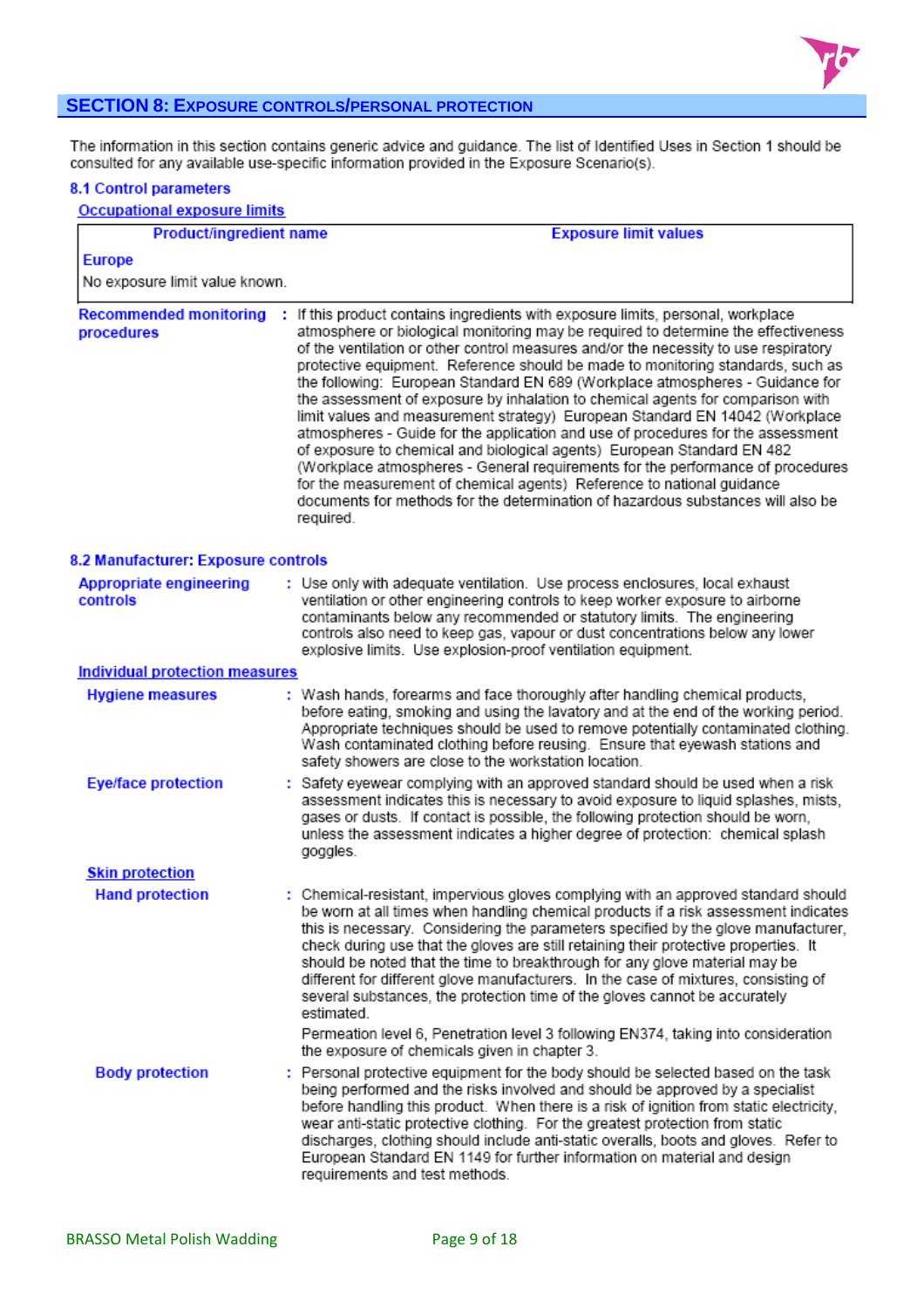

# **SECTION 8: EXPOSURE CONTROLS/PERSONAL PROTECTION**

The information in this section contains generic advice and guidance. The list of Identified Uses in Section 1 should be<br>consulted for any available use-specific information provided in the Exposure Scenario(s).

#### 8.1 Control parameters

| <b>Occupational exposure limits</b>         |                                                                                                                                                                                                                                                                                                                                                                                                                                                                                                                                                                                                                                                                                                                                                                                                                                                                                                                                                                                                                                    |  |  |
|---------------------------------------------|------------------------------------------------------------------------------------------------------------------------------------------------------------------------------------------------------------------------------------------------------------------------------------------------------------------------------------------------------------------------------------------------------------------------------------------------------------------------------------------------------------------------------------------------------------------------------------------------------------------------------------------------------------------------------------------------------------------------------------------------------------------------------------------------------------------------------------------------------------------------------------------------------------------------------------------------------------------------------------------------------------------------------------|--|--|
| Product/ingredient name                     | <b>Exposure limit values</b>                                                                                                                                                                                                                                                                                                                                                                                                                                                                                                                                                                                                                                                                                                                                                                                                                                                                                                                                                                                                       |  |  |
| <b>Europe</b>                               |                                                                                                                                                                                                                                                                                                                                                                                                                                                                                                                                                                                                                                                                                                                                                                                                                                                                                                                                                                                                                                    |  |  |
| No exposure limit value known.              |                                                                                                                                                                                                                                                                                                                                                                                                                                                                                                                                                                                                                                                                                                                                                                                                                                                                                                                                                                                                                                    |  |  |
| <b>Recommended monitoring</b><br>procedures | : If this product contains ingredients with exposure limits, personal, workplace<br>atmosphere or biological monitoring may be required to determine the effectiveness<br>of the ventilation or other control measures and/or the necessity to use respiratory<br>protective equipment. Reference should be made to monitoring standards, such as<br>the following: European Standard EN 689 (Workplace atmospheres - Guidance for<br>the assessment of exposure by inhalation to chemical agents for comparison with<br>limit values and measurement strategy) European Standard EN 14042 (Workplace<br>atmospheres - Guide for the application and use of procedures for the assessment<br>of exposure to chemical and biological agents) European Standard EN 482<br>(Workplace atmospheres - General requirements for the performance of procedures<br>for the measurement of chemical agents) Reference to national guidance<br>documents for methods for the determination of hazardous substances will also be<br>required. |  |  |
| 8.2 Manufacturer: Exposure controls         |                                                                                                                                                                                                                                                                                                                                                                                                                                                                                                                                                                                                                                                                                                                                                                                                                                                                                                                                                                                                                                    |  |  |
| <b>Appropriate engineering</b><br>controls  | : Use only with adequate ventilation. Use process enclosures, local exhaust<br>ventilation or other engineering controls to keep worker exposure to airborne<br>contaminants below any recommended or statutory limits. The engineering<br>controls also need to keep gas, vapour or dust concentrations below any lower<br>explosive limits. Use explosion-proof ventilation equipment.                                                                                                                                                                                                                                                                                                                                                                                                                                                                                                                                                                                                                                           |  |  |
| <b>Individual protection measures</b>       |                                                                                                                                                                                                                                                                                                                                                                                                                                                                                                                                                                                                                                                                                                                                                                                                                                                                                                                                                                                                                                    |  |  |
| <b>Hygiene measures</b>                     | : Wash hands, forearms and face thoroughly after handling chemical products,<br>before eating, smoking and using the lavatory and at the end of the working period.<br>Appropriate techniques should be used to remove potentially contaminated clothing.<br>Wash contaminated clothing before reusing. Ensure that eyewash stations and<br>safety showers are close to the workstation location.                                                                                                                                                                                                                                                                                                                                                                                                                                                                                                                                                                                                                                  |  |  |
| <b>Eye/face protection</b>                  | : Safety eyewear complying with an approved standard should be used when a risk<br>assessment indicates this is necessary to avoid exposure to liquid splashes, mists,<br>gases or dusts. If contact is possible, the following protection should be worn,<br>unless the assessment indicates a higher degree of protection: chemical splash<br>goggles.                                                                                                                                                                                                                                                                                                                                                                                                                                                                                                                                                                                                                                                                           |  |  |
| <b>Skin protection</b>                      |                                                                                                                                                                                                                                                                                                                                                                                                                                                                                                                                                                                                                                                                                                                                                                                                                                                                                                                                                                                                                                    |  |  |
| <b>Hand protection</b>                      | : Chemical-resistant, impervious gloves complying with an approved standard should<br>be worn at all times when handling chemical products if a risk assessment indicates<br>this is necessary. Considering the parameters specified by the glove manufacturer,<br>check during use that the gloves are still retaining their protective properties. It<br>should be noted that the time to breakthrough for any glove material may be<br>different for different glove manufacturers. In the case of mixtures, consisting of<br>several substances, the protection time of the gloves cannot be accurately<br>estimated.                                                                                                                                                                                                                                                                                                                                                                                                          |  |  |
|                                             | Permeation level 6, Penetration level 3 following EN374, taking into consideration<br>the exposure of chemicals given in chapter 3.                                                                                                                                                                                                                                                                                                                                                                                                                                                                                                                                                                                                                                                                                                                                                                                                                                                                                                |  |  |
| <b>Body protection</b>                      | : Personal protective equipment for the body should be selected based on the task<br>being performed and the risks involved and should be approved by a specialist<br>before handling this product. When there is a risk of ignition from static electricity,<br>wear anti-static protective clothing. For the greatest protection from static<br>discharges, clothing should include anti-static overalls, boots and gloves. Refer to<br>European Standard EN 1149 for further information on material and design<br>requirements and test methods.                                                                                                                                                                                                                                                                                                                                                                                                                                                                               |  |  |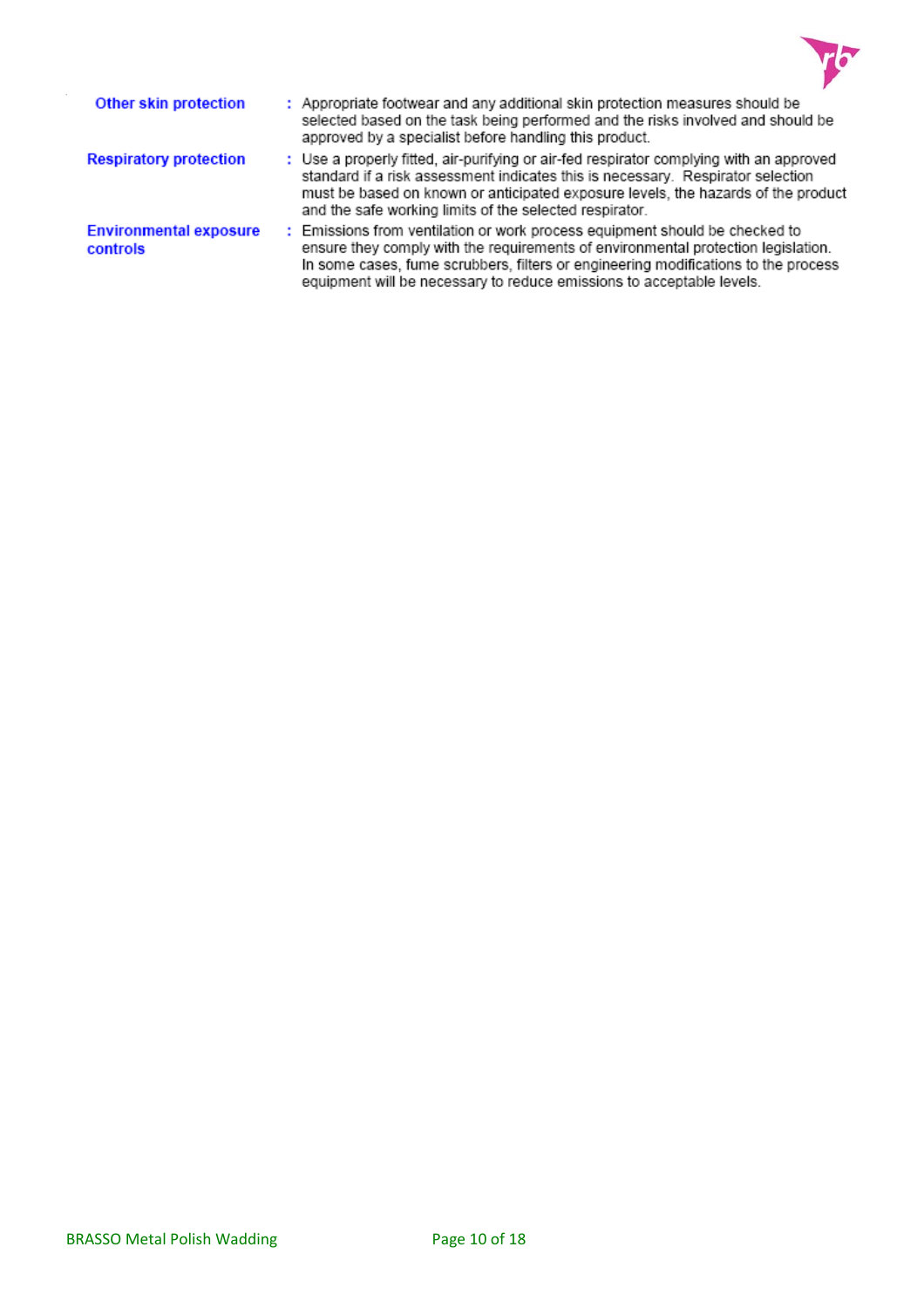

| Other skin protection                     | : Appropriate footwear and any additional skin protection measures should be<br>selected based on the task being performed and the risks involved and should be<br>approved by a specialist before handling this product.                                                                                                       |
|-------------------------------------------|---------------------------------------------------------------------------------------------------------------------------------------------------------------------------------------------------------------------------------------------------------------------------------------------------------------------------------|
| <b>Respiratory protection</b>             | : Use a properly fitted, air-purifying or air-fed respirator complying with an approved<br>standard if a risk assessment indicates this is necessary. Respirator selection<br>must be based on known or anticipated exposure levels, the hazards of the product<br>and the safe working limits of the selected respirator.      |
| <b>Environmental exposure</b><br>controls | : Emissions from ventilation or work process equipment should be checked to<br>ensure they comply with the requirements of environmental protection legislation.<br>In some cases, fume scrubbers, filters or engineering modifications to the process<br>equipment will be necessary to reduce emissions to acceptable levels. |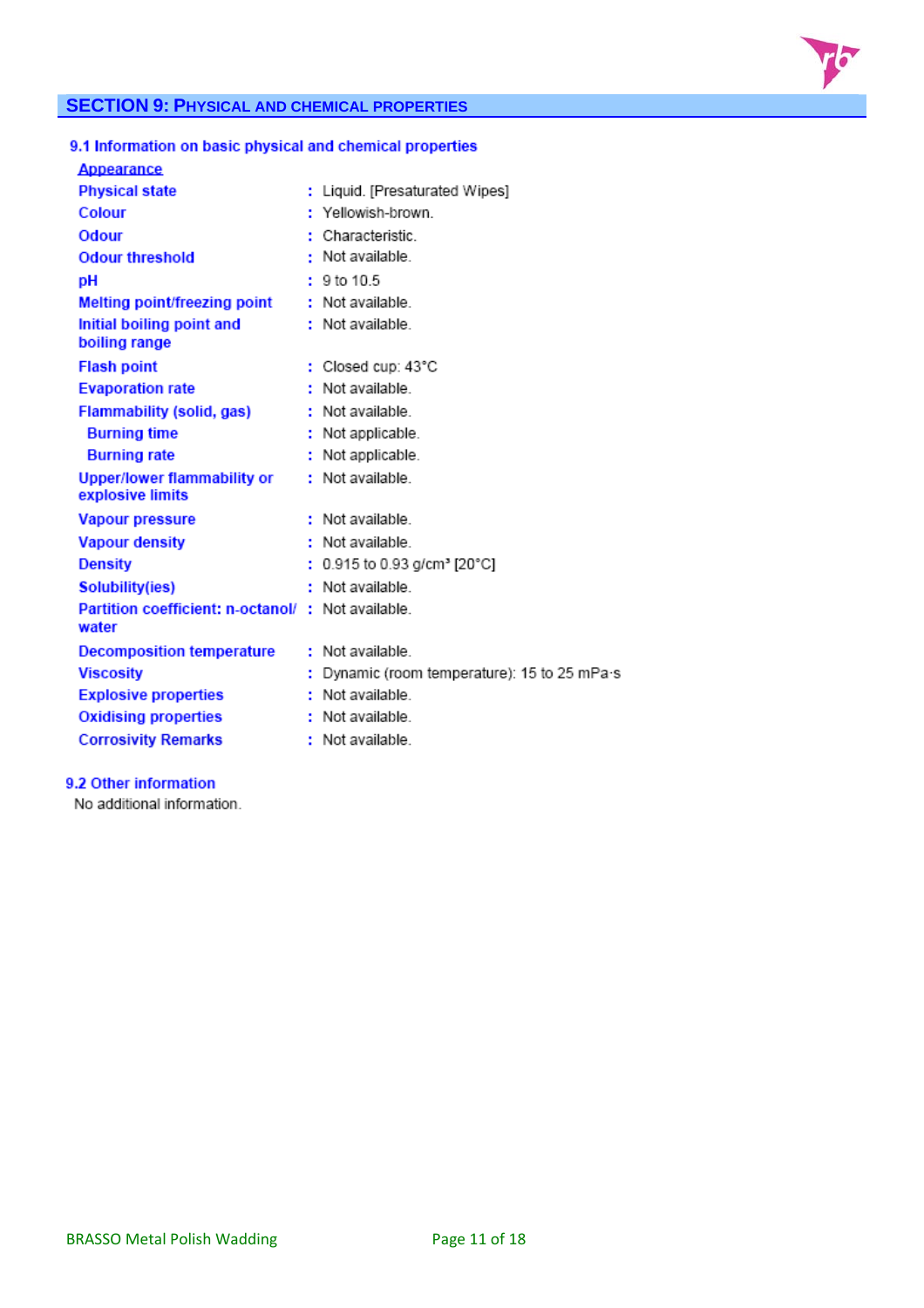

# **SECTION 9: PHYSICAL AND CHEMICAL PROPERTIES**

# 9.1 Information on basic physical and chemical properties

| Appearance                                                  |                                            |
|-------------------------------------------------------------|--------------------------------------------|
| <b>Physical state</b>                                       | : Liquid. [Presaturated Wipes]             |
| Colour                                                      | Yellowish-brown                            |
| Odour                                                       | Characteristic                             |
| <b>Odour threshold</b>                                      | : Not available.                           |
| DН                                                          | 9 to 10.5                                  |
| Melting point/freezing point                                | : Not available.                           |
| Initial boiling point and<br>boiling range                  | : Not available.                           |
| <b>Flash point</b>                                          | : Closed cup: 43°C                         |
| <b>Evaporation rate</b>                                     | Not available.                             |
| Flammability (solid, gas)                                   | Not available.                             |
| <b>Burning time</b>                                         | Not applicable.                            |
| <b>Burning rate</b>                                         | Not applicable.                            |
| <b>Upper/lower flammability or</b><br>explosive limits      | : Not available.                           |
| <b>Vapour pressure</b>                                      | : Not available.                           |
| <b>Vapour density</b>                                       | : Not available.                           |
| <b>Density</b>                                              | 0.915 to 0.93 g/cm <sup>3</sup> [20°C]     |
| Solubility(ies)                                             | Not available.                             |
| Partition coefficient: n-octanol/ : Not available.<br>water |                                            |
| <b>Decomposition temperature</b>                            | : Not available.                           |
| <b>Viscosity</b>                                            | Dynamic (room temperature): 15 to 25 mPa s |
| <b>Explosive properties</b>                                 | : Not available.                           |
| <b>Oxidising properties</b>                                 | : Not available.                           |
| <b>Corrosivity Remarks</b>                                  | : Not available.                           |
|                                                             |                                            |

# 9.2 Other information

No additional information.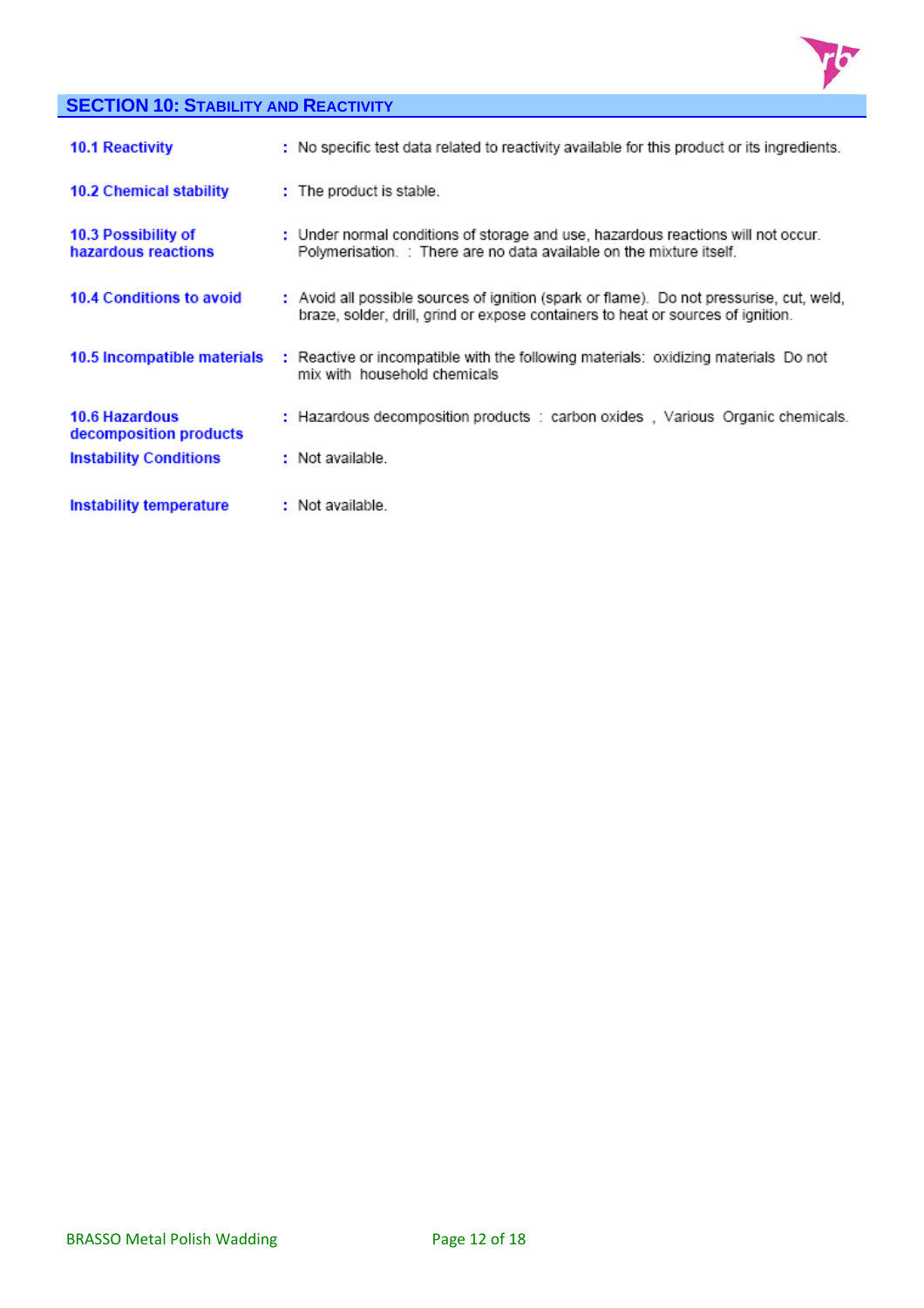

# **SECTION 10: STABILITY AND REACTIVITY**

| <b>10.1 Reactivity</b>                     | : No specific test data related to reactivity available for this product or its ingredients.                                                                                 |
|--------------------------------------------|------------------------------------------------------------------------------------------------------------------------------------------------------------------------------|
| 10.2 Chemical stability                    | : The product is stable.                                                                                                                                                     |
| 10.3 Possibility of<br>hazardous reactions | : Under normal conditions of storage and use, hazardous reactions will not occur.<br>Polymerisation. : There are no data available on the mixture itself.                    |
| 10.4 Conditions to avoid                   | : Avoid all possible sources of ignition (spark or flame). Do not pressurise, cut, weld,<br>braze, solder, drill, grind or expose containers to heat or sources of ignition. |
| 10.5 Incompatible materials                | : Reactive or incompatible with the following materials: oxidizing materials Do not<br>mix with household chemicals                                                          |
| 10.6 Hazardous<br>decomposition products   | : Hazardous decomposition products : carbon oxides, Various Organic chemicals.                                                                                               |
| <b>Instability Conditions</b>              | : Not available.                                                                                                                                                             |
| Instability temperature                    | : Not available.                                                                                                                                                             |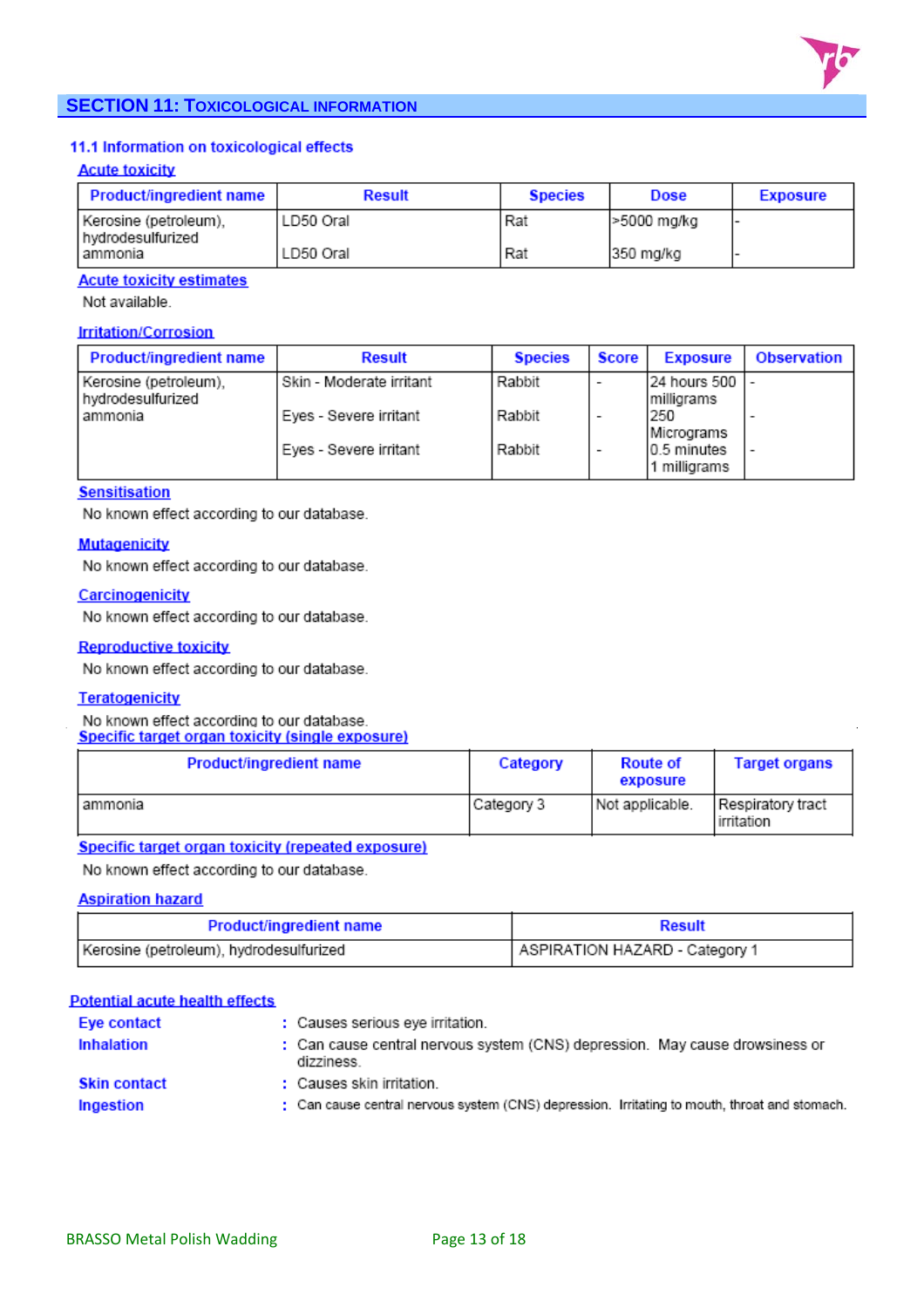

# **SECTION 11: TOXICOLOGICAL INFORMATION**

## 11.1 Information on toxicological effects

#### **Acute toxicity**

| Product/ingredient name                      | <b>Result</b> | <b>Species</b> | <b>Dose</b> | <b>Exposure</b> |
|----------------------------------------------|---------------|----------------|-------------|-----------------|
| Kerosine (petroleum),<br>l hydrodesulfurized | LD50 Oral     | Rat            | -5000 mg/kg |                 |
| lammonia                                     | LD50 Oral     | Rat            | 350 mg/kg   |                 |

#### **Acute toxicity estimates**

Not available.

#### **Irritation/Corrosion**

| Product/ingredient name                    | <b>Result</b>            | <b>Species</b> | Score | <b>Exposure</b>             | Observation |
|--------------------------------------------|--------------------------|----------------|-------|-----------------------------|-------------|
| Kerosine (petroleum).<br>hydrodesulfurized | Skin - Moderate irritant | Rabbit         | -     | 24 hours 500<br>Imilligrams |             |
| l ammonia                                  | Eyes - Severe irritant   | Rabbit         | -     | 250<br>Micrograms           |             |
|                                            | Eyes - Severe irritant   | Rabbit         | -     | 0.5 minutes<br>1 milliorams |             |

#### **Sensitisation**

No known effect according to our database.

#### **Mutagenicity**

No known effect according to our database.

#### Carcinogenicity

No known effect according to our database.

#### **Reproductive toxicity**

No known effect according to our database.

#### **Teratogenicity**

No known effect according to our database. Specific target organ toxicity (single exposure)

| <b>Product/ingredient name</b> | Category   | <b>Route of</b><br>exposure | <b>Target organs</b>            |
|--------------------------------|------------|-----------------------------|---------------------------------|
| lammonia                       | Category 3 | Not applicable.             | Respiratory tract<br>irritation |

# **Specific target organ toxicity (repeated exposure)**

No known effect according to our database.

#### **Aspiration hazard**

| <b>Product/ingredient name</b>          | <b>Result</b>                  |
|-----------------------------------------|--------------------------------|
| Kerosine (petroleum), hydrodesulfurized | ASPIRATION HAZARD - Category 1 |

| <b>Potential acute health effects</b> |  |  |  |  |
|---------------------------------------|--|--|--|--|
|---------------------------------------|--|--|--|--|

| Eye contact         | : Causes serious eve irritation.                                                              |
|---------------------|-----------------------------------------------------------------------------------------------|
| Inhalation          | : Can cause central nervous system (CNS) depression. May cause drowsiness or<br>dizziness.    |
| <b>Skin contact</b> | : Causes skin irritation.                                                                     |
| Ingestion           | : Can cause central nervous system (CNS) depression. Irritating to mouth, throat and stomach. |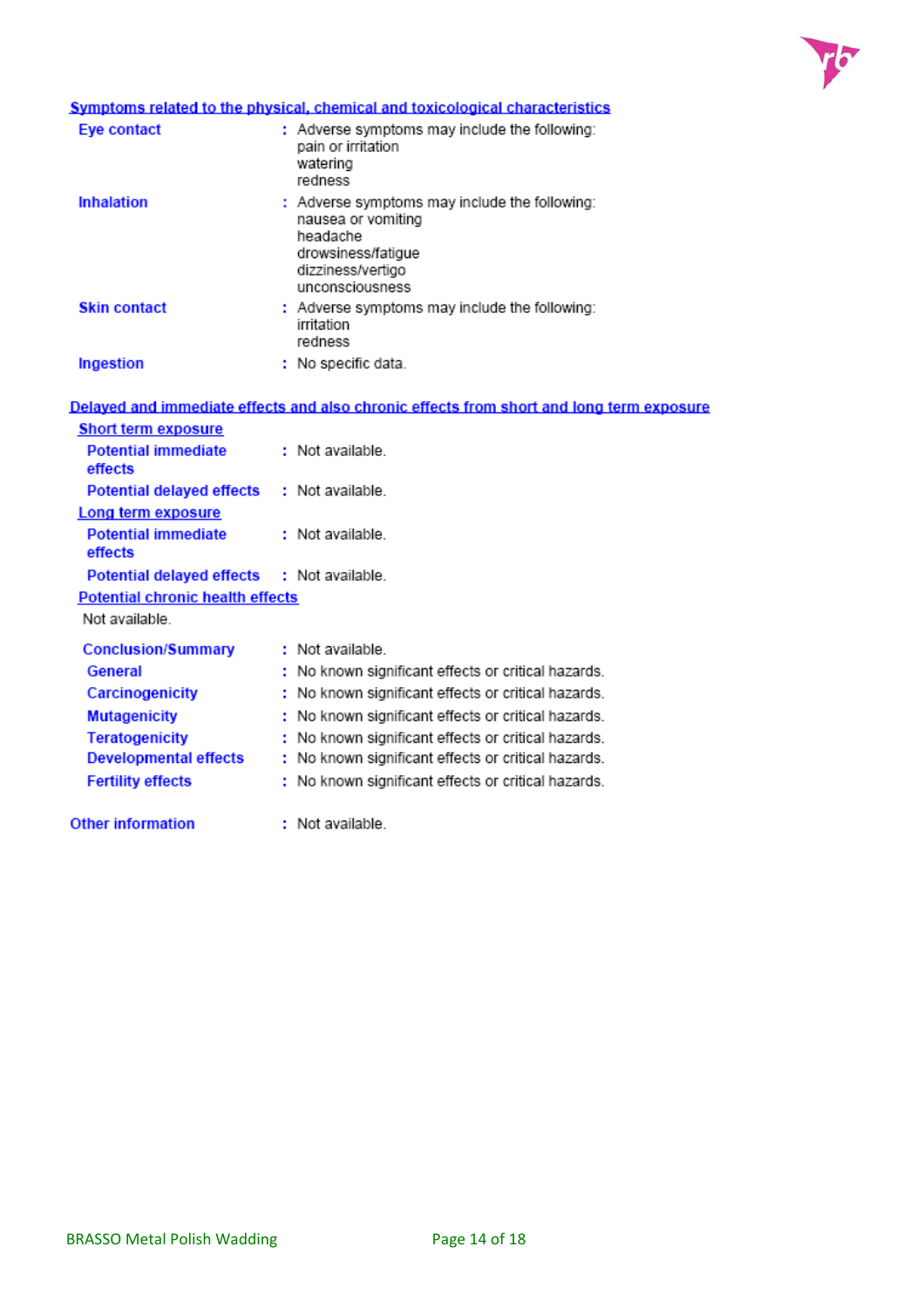

# Symptoms related to the physical, chemical and toxicological characteristics

| Eye contact         | : Adverse symptoms may include the following:<br>pain or irritation<br>watering<br>redness                                                    |
|---------------------|-----------------------------------------------------------------------------------------------------------------------------------------------|
| <b>Inhalation</b>   | : Adverse symptoms may include the following:<br>nausea or vomiting<br>headache<br>drowsiness/fatigue<br>dizziness/vertigo<br>unconsciousness |
| <b>Skin contact</b> | : Adverse symptoms may include the following:<br>irritation<br>redness                                                                        |
| Ingestion           | : No specific data.                                                                                                                           |

|                                            | Delayed and immediate effects and also chronic effects from short and long term exposure |
|--------------------------------------------|------------------------------------------------------------------------------------------|
| <b>Short term exposure</b>                 |                                                                                          |
| <b>Potential immediate</b><br>effects      | : Not available.                                                                         |
| Potential delayed effects : Not available. |                                                                                          |
| Long term exposure                         |                                                                                          |
| <b>Potential immediate</b><br>effects      | : Not available.                                                                         |
| Potential delayed effects : Not available. |                                                                                          |
| <b>Potential chronic health effects</b>    |                                                                                          |
| Not available                              |                                                                                          |
| <b>Conclusion/Summary</b>                  | : Not available.                                                                         |
| General                                    | : No known significant effects or critical hazards.                                      |
| Carcinogenicity                            | : No known significant effects or critical hazards.                                      |
| <b>Mutagenicity</b>                        | : No known significant effects or critical hazards.                                      |
| <b>Teratogenicity</b>                      | : No known significant effects or critical hazards.                                      |
| Developmental effects                      | : No known significant effects or critical hazards.                                      |
| <b>Fertility effects</b>                   | : No known significant effects or critical hazards.                                      |
| <b>Other information</b>                   | : Not available.                                                                         |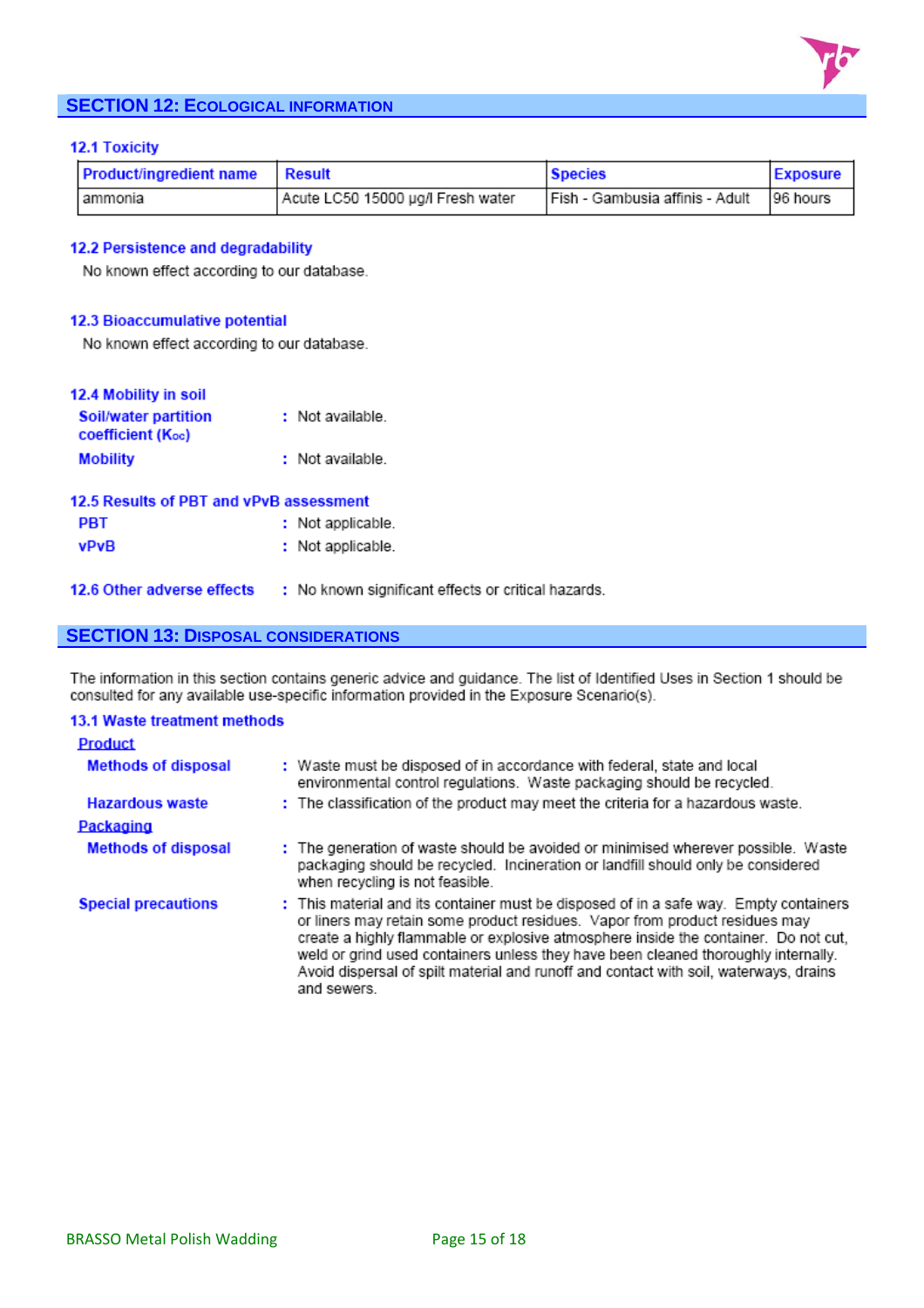

# **SECTION 12: ECOLOGICAL INFORMATION**

#### **12.1 Toxicity**

| <b>Product/ingredient name Result</b> |                                   | <b>Species</b>                  | <b>Exposure</b> |
|---------------------------------------|-----------------------------------|---------------------------------|-----------------|
| lammonia                              | Acute LC50 15000 µg/l Fresh water | Fish - Gambusia affinis - Adult | 96 hours        |

#### 12.2 Persistence and degradability

No known effect according to our database.

#### 12.3 Bioaccumulative potential

No known effect according to our database.

| 12.4 Mobility in soil                            |                                                     |
|--------------------------------------------------|-----------------------------------------------------|
| Soil/water partition<br><b>coefficient (Koc)</b> | : Not available.                                    |
| <b>Mobility</b>                                  | : Not available.                                    |
| 12.5 Results of PBT and vPvB assessment          |                                                     |
| <b>PBT</b>                                       | : Not applicable.                                   |
| <b>vPvB</b>                                      | : Not applicable.                                   |
| 12.6 Other adverse effects                       | : No known significant effects or critical hazards. |

# **SECTION 13: DISPOSAL CONSIDERATIONS**

The information in this section contains generic advice and guidance. The list of Identified Uses in Section 1 should be consulted for any available use-specific information provided in the Exposure Scenario(s).

| <b>13.1 Waste treatment methods</b> |                                                                                                                                                                                                                                                                                                                                                                                                                                                           |
|-------------------------------------|-----------------------------------------------------------------------------------------------------------------------------------------------------------------------------------------------------------------------------------------------------------------------------------------------------------------------------------------------------------------------------------------------------------------------------------------------------------|
| <b>Product</b>                      |                                                                                                                                                                                                                                                                                                                                                                                                                                                           |
| <b>Methods of disposal</b>          | : Waste must be disposed of in accordance with federal, state and local<br>environmental control regulations. Waste packaging should be recycled.                                                                                                                                                                                                                                                                                                         |
| <b>Hazardous waste</b>              | : The classification of the product may meet the criteria for a hazardous waste.                                                                                                                                                                                                                                                                                                                                                                          |
| Packaging                           |                                                                                                                                                                                                                                                                                                                                                                                                                                                           |
| <b>Methods of disposal</b>          | : The generation of waste should be avoided or minimised wherever possible. Waste<br>packaging should be recycled. Incineration or landfill should only be considered<br>when recycling is not feasible.                                                                                                                                                                                                                                                  |
| <b>Special precautions</b>          | : This material and its container must be disposed of in a safe way. Empty containers<br>or liners may retain some product residues. Vapor from product residues may<br>create a highly flammable or explosive atmosphere inside the container. Do not cut,<br>weld or grind used containers unless they have been cleaned thoroughly internally.<br>Avoid dispersal of spilt material and runoff and contact with soil, waterways, drains<br>and sewers. |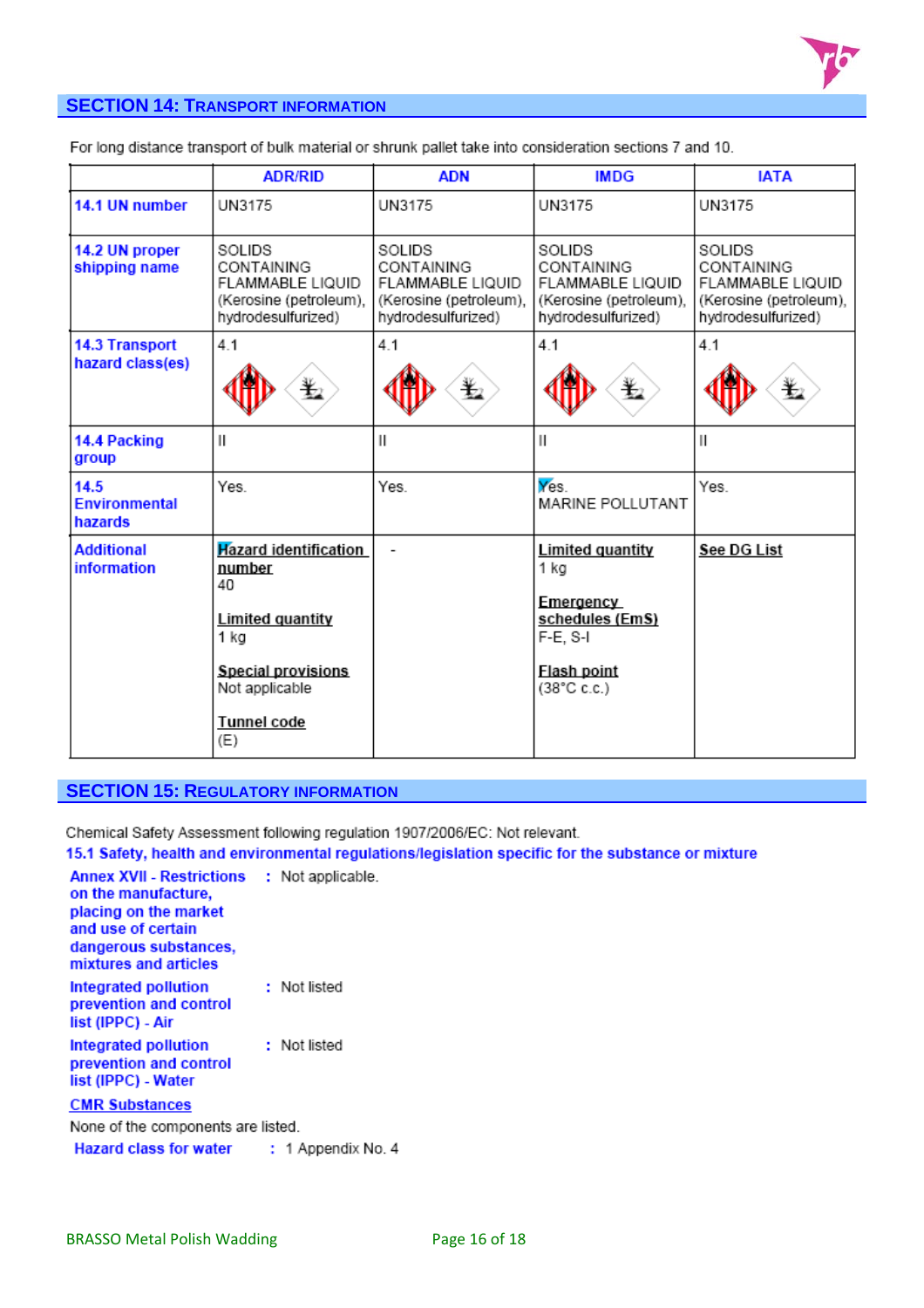

# **SECTION 14: TRANSPORT INFORMATION**

For long distance transport of bulk material or shrunk pallet take into consideration sections 7 and 10.

|                                         | <b>ADR/RID</b>                                                                                                                                       | <b>ADN</b>                                                                               | <b>IMDG</b>                                                                                                         | <b>IATA</b>                                                                              |
|-----------------------------------------|------------------------------------------------------------------------------------------------------------------------------------------------------|------------------------------------------------------------------------------------------|---------------------------------------------------------------------------------------------------------------------|------------------------------------------------------------------------------------------|
| 14.1 UN number                          | UN3175                                                                                                                                               | UN3175                                                                                   | UN3175                                                                                                              | UN3175                                                                                   |
| 14.2 UN proper<br>shipping name         | SOLIDS<br>CONTAINING<br>FLAMMABLE LIQUID<br>(Kerosine (petroleum),<br>hydrodesulfurized)                                                             | SOLIDS<br>CONTAINING<br>FLAMMABLE LIQUID<br>(Kerosine (petroleum),<br>hydrodesulfurized) | SOLIDS<br>CONTAINING<br>FLAMMABLE LIQUID<br>(Kerosine (petroleum),<br>hydrodesulfurized)                            | SOLIDS<br>CONTAINING<br>FLAMMABLE LIQUID<br>(Kerosine (petroleum),<br>hydrodesulfurized) |
| 14.3 Transport<br>hazard class(es)      | 4.1<br>盭                                                                                                                                             | 4.1<br>€                                                                                 | 4.1<br>髦                                                                                                            | 4.1<br>耄                                                                                 |
| 14.4 Packing<br>group                   | $\mathsf{I}$                                                                                                                                         | $\mathsf{II}$                                                                            | Ш                                                                                                                   | $\mathsf{I}$                                                                             |
| 14.5<br><b>Environmental</b><br>hazards | Yes.                                                                                                                                                 | Yes.                                                                                     | Yes.<br>MARINE POLLUTANT                                                                                            | Yes.                                                                                     |
| <b>Additional</b><br>information        | <b>Hazard identification</b><br>number<br>40<br>Limited quantity<br>1 kg<br><b>Special provisions</b><br>Not applicable<br><b>Tunnel code</b><br>(E) |                                                                                          | <b>Limited quantity</b><br>1 kg<br>Emergency<br>schedules (EmS)<br>F-E, S-I<br>Flash point<br>$(38^{\circ}$ C c.c.) | See DG List                                                                              |

## **SECTION 15: REGULATORY INFORMATION**

Chemical Safety Assessment following regulation 1907/2006/EC: Not relevant.

15.1 Safety, health and environmental regulations/legislation specific for the substance or mixture

| <b>Annex XVII - Restrictions</b><br>on the manufacture,<br>placing on the market<br>and use of certain<br>dangerous substances.<br>mixtures and articles | : Not applicable. |
|----------------------------------------------------------------------------------------------------------------------------------------------------------|-------------------|
| Integrated pollution<br>prevention and control<br>list (IPPC) - Air                                                                                      | : Not listed      |
| Integrated pollution<br>prevention and control<br>list (IPPC) - Water                                                                                    | : Not listed      |
| <b>CMR Substances</b>                                                                                                                                    |                   |
| None of the components are listed.                                                                                                                       |                   |
| Hazard class for water : 1 Appendix No. 4                                                                                                                |                   |
|                                                                                                                                                          |                   |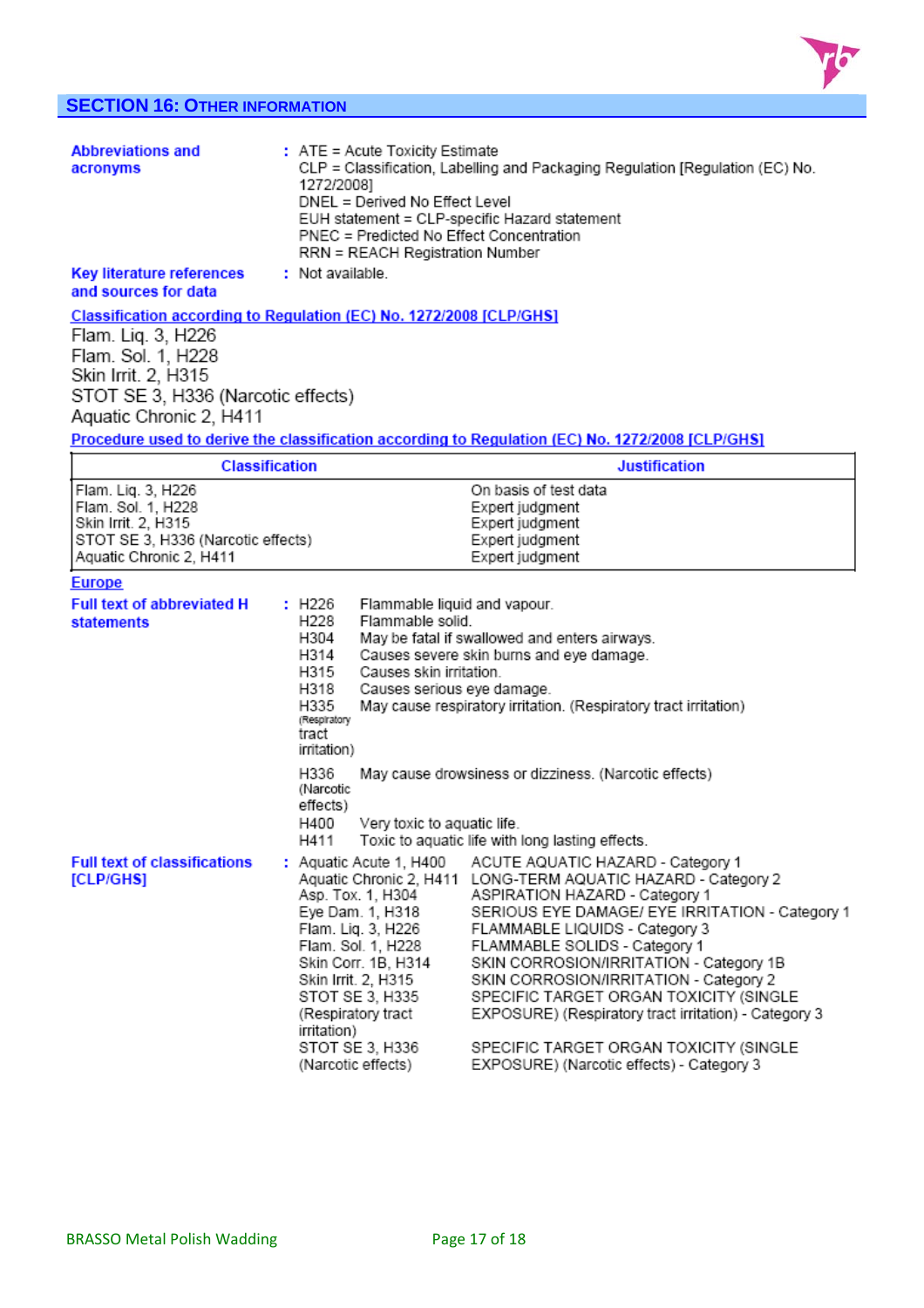

# **SECTION 16: OTHER INFORMATION**

| <b>Abbreviations and</b><br>acronyms                                                                                             | : ATE = Acute Toxicity Estimate<br>CLP = Classification, Labelling and Packaging Regulation [Regulation (EC) No.<br>1272/2008]<br>DNEL = Derived No Effect Level<br>EUH statement = CLP-specific Hazard statement<br>PNEC = Predicted No Effect Concentration<br>RRN = REACH Registration Number |                                                                                                                                                                                                                             |  |  |  |
|----------------------------------------------------------------------------------------------------------------------------------|--------------------------------------------------------------------------------------------------------------------------------------------------------------------------------------------------------------------------------------------------------------------------------------------------|-----------------------------------------------------------------------------------------------------------------------------------------------------------------------------------------------------------------------------|--|--|--|
| <b>Key literature references</b><br>and sources for data                                                                         | : Not available.                                                                                                                                                                                                                                                                                 |                                                                                                                                                                                                                             |  |  |  |
| Classification according to Regulation (EC) No. 1272/2008 [CLP/GHS]                                                              |                                                                                                                                                                                                                                                                                                  |                                                                                                                                                                                                                             |  |  |  |
| Flam. Lig. 3, H226<br>Flam. Sol. 1, H228<br>Skin Irrit. 2, H315<br>STOT SE 3, H336 (Narcotic effects)<br>Aquatic Chronic 2, H411 |                                                                                                                                                                                                                                                                                                  |                                                                                                                                                                                                                             |  |  |  |
|                                                                                                                                  |                                                                                                                                                                                                                                                                                                  | Procedure used to derive the classification according to Regulation (EC) No. 1272/2008 [CLP/GHS]                                                                                                                            |  |  |  |
|                                                                                                                                  | <b>Classification</b>                                                                                                                                                                                                                                                                            | <b>Justification</b>                                                                                                                                                                                                        |  |  |  |
| Flam. Lig. 3, H226<br>Flam. Sol. 1, H228<br>Skin Irrit. 2, H315<br>STOT SE 3, H336 (Narcotic effects)<br>Aquatic Chronic 2, H411 |                                                                                                                                                                                                                                                                                                  | On basis of test data<br>Expert judgment<br>Expert judgment<br>Expert judgment<br>Expert judgment                                                                                                                           |  |  |  |
| <b>Europe</b>                                                                                                                    |                                                                                                                                                                                                                                                                                                  |                                                                                                                                                                                                                             |  |  |  |
| <b>Full text of abbreviated H</b><br><b>statements</b>                                                                           | : H226<br>H228<br>Flammable solid.<br>H304<br>H314<br>H315<br>Causes skin irritation.<br>H318<br>H335<br>(Respiratory<br>tract<br>irritation)                                                                                                                                                    | Flammable liquid and vapour.<br>May be fatal if swallowed and enters airways.<br>Causes severe skin burns and eye damage.<br>Causes serious eye damage.<br>May cause respiratory irritation. (Respiratory tract irritation) |  |  |  |
|                                                                                                                                  | H336<br>(Narcotic<br>effects)<br>H400<br>Very toxic to aquatic life.<br>H411                                                                                                                                                                                                                     | May cause drowsiness or dizziness. (Narcotic effects)<br>Toxic to aquatic life with long lasting effects.                                                                                                                   |  |  |  |
| <b>Full text of classifications</b><br>rei bieuer                                                                                |                                                                                                                                                                                                                                                                                                  | : Aquatic Acute 1, H400 ACUTE AQUATIC HAZARD - Category 1<br>Aguatic Chronic 2, H444, LONG TERM AOUATIC HAZARD, Catagonia                                                                                                   |  |  |  |

| Full text of classifications | $:$ Aquatic Acute 1, H400 | ACUTE AQUATIC HAZARD - Category 1                             |
|------------------------------|---------------------------|---------------------------------------------------------------|
| [CLP/GH <b>S</b> ]           |                           | Aquatic Chronic 2, H411 LONG-TERM AQUATIC HAZARD - Category 2 |
|                              | Asp. Tox. 1, H304         | ASPIRATION HAZARD - Category 1                                |
|                              | Eve Dam. 1. H318          | SERIOUS EYE DAMAGE/ EYE IRRITATION - Category 1               |
|                              | Flam. Lig. 3, H226        | FLAMMABLE LIQUIDS - Category 3                                |
|                              | Flam. Sol. 1, H228        | FLAMMABLE SOLIDS - Category 1                                 |
|                              | Skin Corr. 1B, H314       | SKIN CORROSION/IRRITATION - Category 1B                       |
|                              | Skin Irrit. 2, H315       | SKIN CORROSION/IRRITATION - Category 2                        |
|                              | STOT SE 3, H335           | SPECIFIC TARGET ORGAN TOXICITY (SINGLE                        |
|                              | (Respiratory tract        | EXPOSURE) (Respiratory tract irritation) - Category 3         |
|                              | irritation)               |                                                               |
|                              | STOT SE 3, H336           | SPECIFIC TARGET ORGAN TOXICITY (SINGLE                        |
|                              | (Narcotic effects)        | EXPOSURE) (Narcotic effects) - Category 3                     |